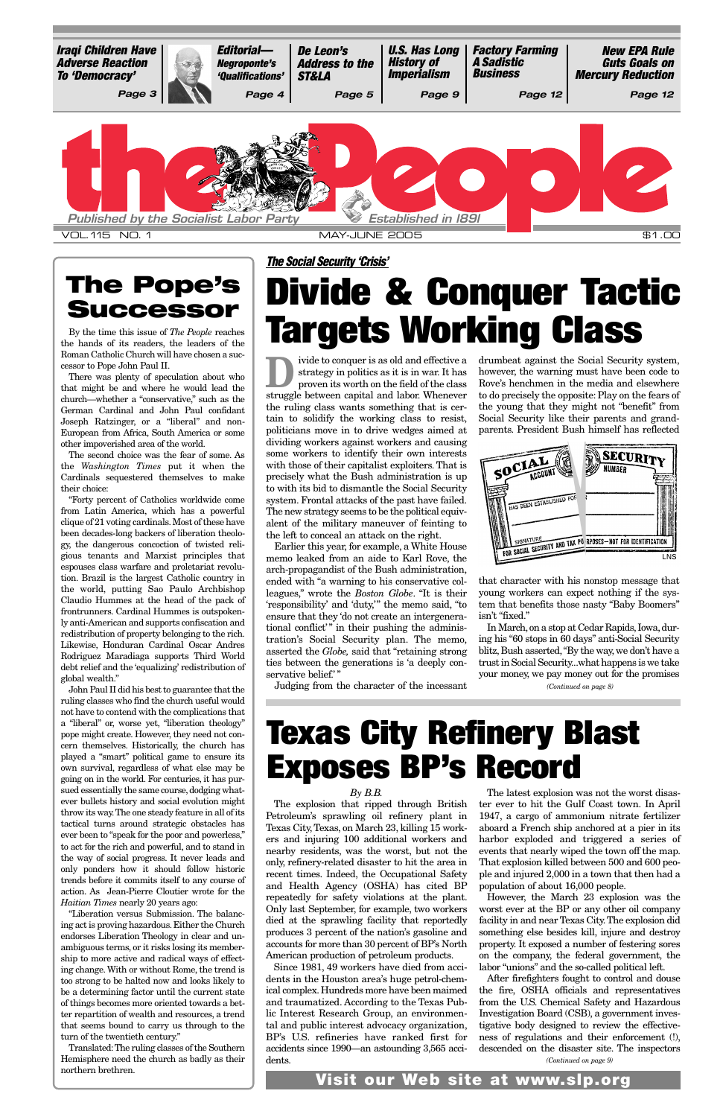proven its as old and effective a<br>strategy in politics as it is in war. It has<br>proven its worth on the field of the class strategy in politics as it is in war. It has struggle between capital and labor. Whenever the ruling class wants something that is certain to solidify the working class to resist, politicians move in to drive wedges aimed at dividing workers against workers and causing some workers to identify their own interests with those of their capitalist exploiters. That is precisely what the Bush administration is up to with its bid to dismantle the Social Security system. Frontal attacks of the past have failed. The new strategy seems to be the political equivalent of the military maneuver of feinting to the left to conceal an attack on the right.

Earlier this year, for example, a White House memo leaked from an aide to Karl Rove, the arch-propagandist of the Bush administration, ended with "a warning to his conservative colleagues," wrote the *Boston Globe*. "It is their 'responsibility' and 'duty,'" the memo said, "to ensure that they 'do not create an intergenerational conflict'" in their pushing the administration's Social Security plan. The memo, asserted the *Globe,* said that "retaining strong ties between the generations is 'a deeply conservative belief.'

In March, on a stop at Cedar Rapids, Iowa, during his "60 stops in 60 days" anti-Social Security blitz, Bush asserted,"By the way, we don't have a trust in Social Security...what happens is we take your money, we pay money out for the promises

# **Divide & Conquer Tactic** By the time this issue of *The People* reaches **Targets Working Class**

Judging from the character of the incessant

drumbeat against the Social Security system, however, the warning must have been code to Rove's henchmen in the media and elsewhere to do precisely the opposite: Play on the fears of the young that they might not "benefit" from Social Security like their parents and grandparents. President Bush himself has reflected

that character with his nonstop message that young workers can expect nothing if the system that benefits those nasty "Baby Boomers" isn't "fixed."

*The Social Security 'Crisis'*

the hands of its readers, the leaders of the Roman Catholic Church will have chosen a successor to Pope John Paul II.

There was plenty of speculation about who that might be and where he would lead the church—whether a "conservative," such as the German Cardinal and John Paul confidant Joseph Ratzinger, or a "liberal" and non-European from Africa, South America or some other impoverished area of the world.

The second choice was the fear of some. As the *Washington Times* put it when the Cardinals sequestered themselves to make their choice:

"Forty percent of Catholics worldwide come from Latin America, which has a powerful clique of 21 voting cardinals. Most of these have been decades-long backers of liberation theology, the dangerous concoction of twisted religious tenants and Marxist principles that espouses class warfare and proletariat revolution. Brazil is the largest Catholic country in the world, putting Sao Paulo Archbishop Claudio Hummes at the head of the pack of frontrunners. Cardinal Hummes is outspokenly anti-American and supports confiscation and redistribution of property belonging to the rich. Likewise, Honduran Cardinal Oscar Andres Rodriguez Maradiaga supports Third World debt relief and the 'equalizing' redistribution of global wealth."

John Paul II did his best to guarantee that the ruling classes who find the church useful would not have to contend with the complications that a "liberal" or, worse yet, "liberation theology" pope might create. However, they need not concern themselves. Historically, the church has played a "smart" political game to ensure its own survival, regardless of what else may be going on in the world. For centuries, it has pursued essentially the same course, dodging whatever bullets history and social evolution might throw its way.The one steady feature in all of its tactical turns around strategic obstacles has ever been to "speak for the poor and powerless," to act for the rich and powerful, and to stand in the way of social progress. It never leads and only ponders how it should follow historic trends before it commits itself to any course of action. As Jean-Pierre Cloutier wrote for the *Haitian Times* nearly 20 years ago: "Liberation versus Submission. The balancing act is proving hazardous.Either the Church endorses Liberation Theology in clear and unambiguous terms, or it risks losing its membership to more active and radical ways of effecting change. With or without Rome, the trend is too strong to be halted now and looks likely to be a determining factor until the current state of things becomes more oriented towards a better repartition of wealth and resources, a trend that seems bound to carry us through to the turn of the twentieth century." Translated:The ruling classes of the Southern Hemisphere need the church as badly as their northern brethren.

<span id="page-0-0"></span>

### **The Pope's Successor**

## **Texas City Refinery Blast Exposes BP's Record**

### *By B.B.*

Texas City, Texas, on March 23, killing 15 workers and injuring 100 additional workers and nearby residents, was the worst, but not the only, refinery-related disaster to hit the area in recent times. Indeed, the Occupational Safety and Health Agency (OSHA) has cited BP repeatedly for safety violations at the plant. Only last September, for example, two workers died at the sprawling facility that reportedly produces 3 percent of the nation's gasoline and accounts for more than 30 percent of BP's North American production of petroleum products.

Since 1981, 49 workers have died from accidents in the Houston area's huge petrol-chemical complex.Hundreds more have been maimed and traumatized. According to the Texas Public Interest Research Group, an environmental and public interest advocacy organization, BP's U.S. refineries have ranked first for accidents since 1990—an astounding 3,565 accidents.

The explosion that ripped through British ter ever to hit the Gulf Coast town. In April Petroleum's sprawling oil refinery plant in 1947, a cargo of ammonium nitrate fertilizer The latest explosion was not the worst disasaboard a French ship anchored at a pier in its harbor exploded and triggered a series of events that nearly wiped the town off the map. That explosion killed between 500 and 600 people and injured 2,000 in a town that then had a population of about 16,000 people. However, the March 23 explosion was the worst ever at the BP or any other oil company facility in and near Texas City.The explosion did something else besides kill, injure and destroy property. It exposed a number of festering sores on the company, the federal government, the labor "unions" and the so-called political left. After firefighters fought to control and douse the fire, OSHA officials and representatives from the U.S. Chemical Safety and Hazardous Investigation Board (CSB), a government investigative body designed to review the effectiveness of regulations and their enforcement (!), descended on the disaster site. The inspectors

*(Continued on page 9)*

*(Continued on page 8)*

**Visit our Web site at www.slp.org**

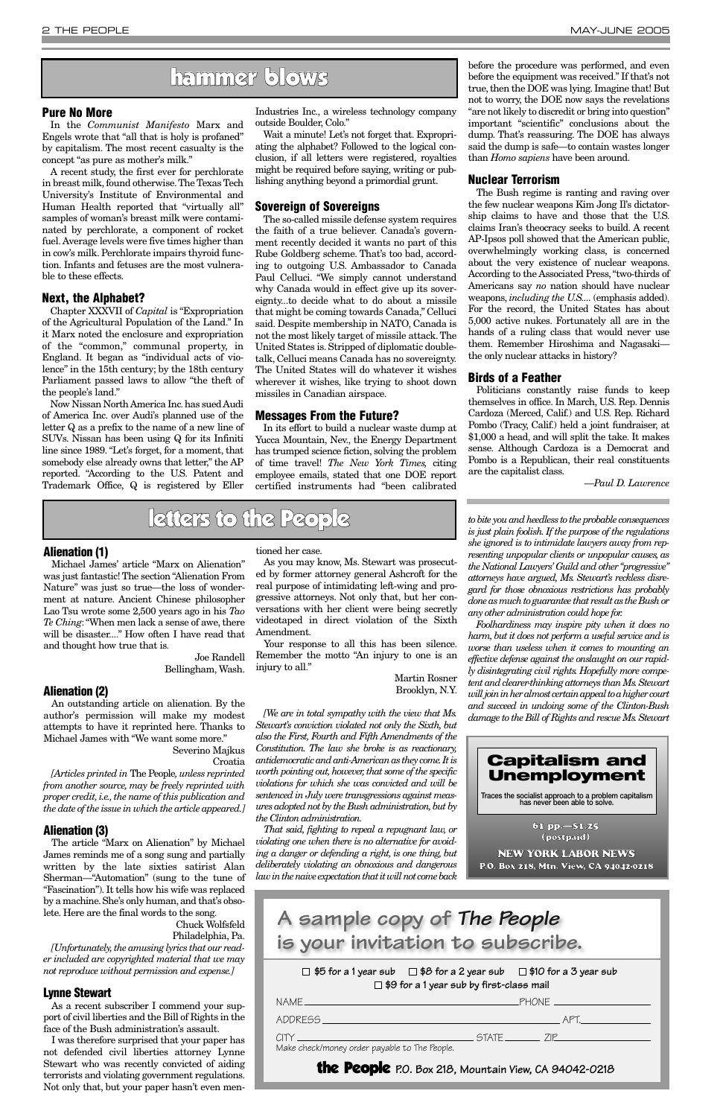### **Alienation (1)**

Michael James' article "Marx on Alienation" was just fantastic! The section "Alienation From Nature" was just so true—the loss of wonderment at nature. Ancient Chinese philosopher Lao Tsu wrote some 2,500 years ago in his *Tao Te Ching*:"When men lack a sense of awe, there will be disaster...." How often I have read that and thought how true that is.

> Joe Randell Bellingham, Wash.

### **Alienation (2)**

An outstanding article on alienation. By the author's permission will make my modest attempts to have it reprinted here. Thanks to Michael James with "We want some more."

### Severino Majkus Croatia

*[Articles printed in* The People*, unless reprinted from another source, may be freely reprinted with proper credit,i.e.,the name of this publication and the date of the issue in which the article appeared.]*

### **Alienation (3)**

The article "Marx on Alienation" by Michael James reminds me of a song sung and partially written by the late sixties satirist Alan Sherman—"Automation" (sung to the tune of "Fascination"). It tells how his wife was replaced by a machine. She's only human, and that's obsolete. Here are the final words to the song.

Chuck Wolfsfeld Philadelphia, Pa.

*[Unfortunately,the amusing lyrics that our reader included are copyrighted material that we may not reproduce without permission and expense.]*

### **Lynne Stewart**

As a recent subscriber I commend your support of civil liberties and the Bill of Rights in the face of the Bush administration's assault.

I was therefore surprised that your paper has not defended civil liberties attorney Lynne Stewart who was recently convicted of aiding terrorists and violating government regulations. Not only that, but your paper hasn't even men-

tioned her case.

As you may know, Ms. Stewart was prosecuted by former attorney general Ashcroft for the real purpose of intimidating left-wing and progressive attorneys. Not only that, but her conversations with her client were being secretly videotaped in direct violation of the Sixth Amendment.

Your response to all this has been silence. Remember the motto "An injury to one is an injury to all."

> Martin Rosner Brooklyn, N.Y.

*[We are in total sympathy with the view that Ms. Stewart's conviction violated not only the Sixth, but also the First, Fourth and Fifth Amendments of the Constitution. The law she broke is as reactionary, antidemocratic and anti-American as they come.It is worth pointing out, however, that some of the specific violations for which she was convicted and will be sentenced in July were transgressions against measures adopted not by the Bush administration,but by the Clinton administration.*

*That said, fighting to repeal a repugnant law, or violating one when there is no alternative for avoiding a danger or defending a right, is one thing, but deliberately violating an obnoxious and dangerous law in the naive expectation that it will not come back* *to bite you and heedless to the probable consequences is just plain foolish. If the purpose of the regulations she ignored is to intimidate lawyers away from representing unpopular clients or unpopular causes, as the National Lawyers' Guild and other "progressive" attorneys have argued, Ms. Stewart's reckless disregard for those obnoxious restrictions has probably done as much to guarantee that result as the Bush or any other administration could hope for.*

*Foolhardiness may inspire pity when it does no harm, but it does not perform a useful service and is worse than useless when it comes to mounting an effective defense against the onslaught on our rapidly disintegrating civil rights. Hopefully more competent and clearer-thinking attorneys than Ms.Stewart will join in her almost certain appeal to a higher court and succeed in undoing some of the Clinton-Bush damage to the Bill of Rights and rescue Ms.Stewart*

### **Pure No More**

In the *Communist Manifesto* Marx and Engels wrote that "all that is holy is profaned" by capitalism. The most recent casualty is the concept "as pure as mother's milk."

> $\Box$  \$5 for a 1 year sub  $\Box$  \$8 for a 2 year sub  $\Box$  \$10 for a 3 year sub **\$9 for a 1 year sub by first-class mail**

A recent study, the first ever for perchlorate in breast milk, found otherwise.The Texas Tech University's Institute of Environmental and Human Health reported that "virtually all" samples of woman's breast milk were contaminated by perchlorate, a component of rocket fuel.Average levels were five times higher than in cow's milk. Perchlorate impairs thyroid function. Infants and fetuses are the most vulnerable to these effects.

### **Next, the Alphabet?**

Chapter XXXVII of *Capital* is "Expropriation of the Agricultural Population of the Land." In it Marx noted the enclosure and expropriation of the "common," communal property, in England. It began as "individual acts of violence" in the 15th century; by the 18th century Parliament passed laws to allow "the theft of the people's land."

Now Nissan North America Inc.has sued Audi of America Inc. over Audi's planned use of the letter Q as a prefix to the name of a new line of SUVs. Nissan has been using Q for its Infiniti line since 1989. "Let's forget, for a moment, that somebody else already owns that letter," the AP reported. "According to the U.S. Patent and Trademark Office, Q is registered by Eller Industries Inc., a wireless technology company outside Boulder, Colo."

Wait a minute! Let's not forget that. Expropriating the alphabet? Followed to the logical conclusion, if all letters were registered, royalties might be required before saying, writing or publishing anything beyond a primordial grunt.

### **Sovereign of Sovereigns**

The so-called missile defense system requires the faith of a true believer. Canada's government recently decided it wants no part of this Rube Goldberg scheme. That's too bad, according to outgoing U.S. Ambassador to Canada Paul Celluci. "We simply cannot understand why Canada would in effect give up its sovereignty...to decide what to do about a missile that might be coming towards Canada," Celluci said. Despite membership in NATO, Canada is not the most likely target of missile attack. The United States is. Stripped of diplomatic doubletalk, Celluci means Canada has no sovereignty. The United States will do whatever it wishes wherever it wishes, like trying to shoot down missiles in Canadian airspace.

### **Messages From the Future?**

In its effort to build a nuclear waste dump at Yucca Mountain, Nev., the Energy Department has trumped science fiction, solving the problem of time travel! *The New York Times,* citing employee emails, stated that one DOE report certified instruments had "been calibrated before the procedure was performed, and even before the equipment was received." If that's not true, then the DOE was lying. Imagine that! But not to worry, the DOE now says the revelations "are not likely to discredit or bring into question" important "scientific" conclusions about the dump. That's reassuring. The DOE has always said the dump is safe—to contain wastes longer than *Homo sapiens* have been around.

### **Nuclear Terrorism**

The Bush regime is ranting and raving over the few nuclear weapons Kim Jong Il's dictatorship claims to have and those that the U.S. claims Iran's theocracy seeks to build. A recent AP-Ipsos poll showed that the American public, overwhelmingly working class, is concerned about the very existence of nuclear weapons. According to the Associated Press, "two-thirds of Americans say *no* nation should have nuclear weapons, *including the U.S....* (emphasis added). For the record, the United States has about 5,000 active nukes. Fortunately all are in the hands of a ruling class that would never use them. Remember Hiroshima and Nagasaki the only nuclear attacks in history?

### **Birds of a Feather**

Politicians constantly raise funds to keep themselves in office. In March, U.S. Rep. Dennis Cardoza (Merced, Calif.) and U.S. Rep. Richard Pombo (Tracy, Calif.) held a joint fundraiser, at \$1,000 a head, and will split the take. It makes sense. Although Cardoza is a Democrat and Pombo is a Republican, their real constituents are the capitalist class.

*—Paul D. Lawrence*

### hammer blows



### 61 pp.—\$1.25 (postpaid)

NEW YORK LABOR NEWS P.O. Box 218, Mtn. View, CA 94042-0218

| PHONF     |  |
|-----------|--|
|           |  |
| STATE /IP |  |
|           |  |

the People **P.O. Box 218, Mountain View, CA 94042-0218**

### **A sample copy of** *The People* **is your invitation to subscribe.**

### letters to the People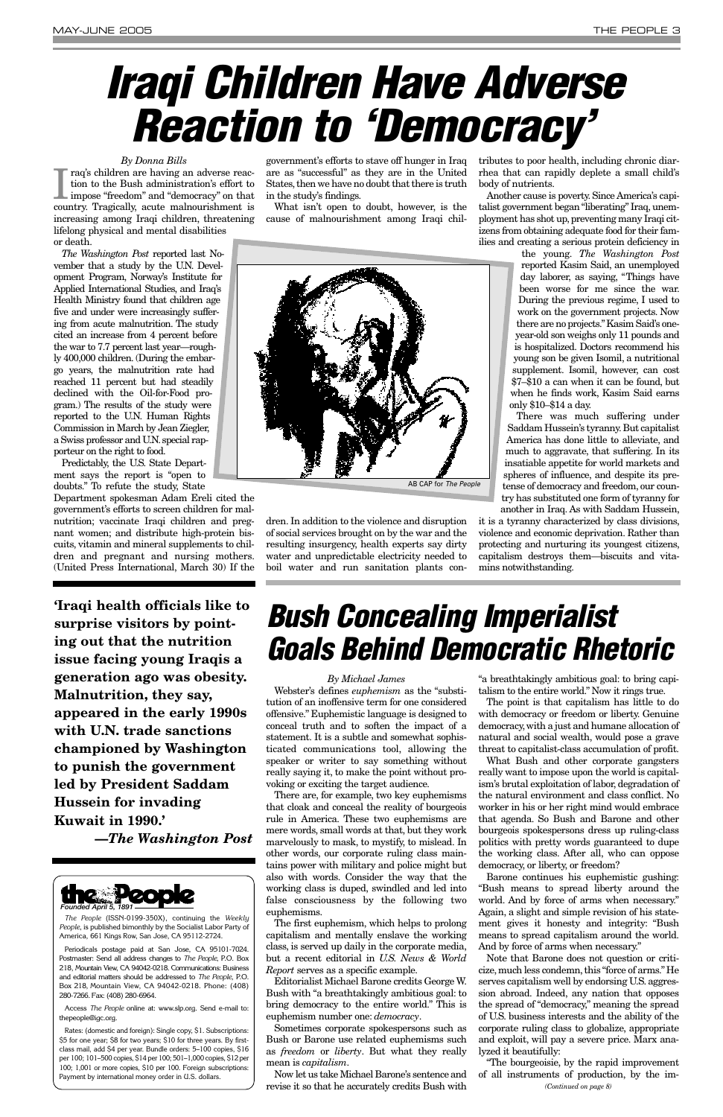### *By Michael James*

Webster's defines *euphemism* as the "substitution of an inoffensive term for one considered offensive." Euphemistic language is designed to conceal truth and to soften the impact of a statement. It is a subtle and somewhat sophisticated communications tool, allowing the speaker or writer to say something without really saying it, to make the point without provoking or exciting the target audience.

There are, for example, two key euphemisms that cloak and conceal the reality of bourgeois rule in America. These two euphemisms are mere words, small words at that, but they work marvelously to mask, to mystify, to mislead. In other words, our corporate ruling class maintains power with military and police might but also with words. Consider the way that the working class is duped, swindled and led into false consciousness by the following two euphemisms. The first euphemism, which helps to prolong capitalism and mentally enslave the working class, is served up daily in the corporate media, but a recent editorial in *U.S. News & World Report* serves as a specific example. Editorialist Michael Barone credits George W. Bush with "a breathtakingly ambitious goal: to bring democracy to the entire world." This is euphemism number one: *democracy*. Sometimes corporate spokespersons such as Bush or Barone use related euphemisms such as *freedom* or *liberty*. But what they really mean is *capitalism*.

Now let us take Michael Barone's sentence and revise it so that he accurately credits Bush with

"a breathtakingly ambitious goal: to bring capitalism to the entire world." Now it rings true.

I raq's children are having an adverse reaction to the Bush administration's effort to impose "freedom" and "democracy" on that country. Tragically, acute malnourishment is raq's children are having an adverse reaction to the Bush administration's effort to impose "freedom" and "democracy" on that increasing among Iraqi children, threatening lifelong physical and mental disabilities or death.

> The point is that capitalism has little to do with democracy or freedom or liberty. Genuine democracy,with a just and humane allocation of natural and social wealth, would pose a grave threat to capitalist-class accumulation of profit.

> What Bush and other corporate gangsters really want to impose upon the world is capitalism's brutal exploitation of labor, degradation of the natural environment and class conflict. No worker in his or her right mind would embrace that agenda. So Bush and Barone and other bourgeois spokespersons dress up ruling-class politics with pretty words guaranteed to dupe the working class. After all, who can oppose democracy, or liberty, or freedom? Barone continues his euphemistic gushing: "Bush means to spread liberty around the world. And by force of arms when necessary." Again, a slight and simple revision of his statement gives it honesty and integrity: "Bush means to spread capitalism around the world. And by force of arms when necessary." Note that Barone does not question or criticize, much less condemn, this "force of arms." He serves capitalism well by endorsing U.S. aggression abroad. Indeed, any nation that opposes the spread of "democracy," meaning the spread of U.S. business interests and the ability of the corporate ruling class to globalize, appropriate and exploit, will pay a severe price. Marx analyzed it beautifully:

> "The bourgeoisie, by the rapid improvement of all instruments of production, by the im-

### *By Donna Bills*

*The Washington Post* reported last November that a study by the U.N. Development Program, Norway's Institute for Applied International Studies, and Iraq's Health Ministry found that children age five and under were increasingly suffering from acute malnutrition. The study cited an increase from 4 percent before the war to 7.7 percent last year—roughly 400,000 children. (During the embargo years, the malnutrition rate had reached 11 percent but had steadily declined with the Oil-for-Food program.) The results of the study were reported to the U.N. Human Rights Commission in March by Jean Ziegler, a Swiss professor and U.N.special rapporteur on the right to food.

Predictably, the U.S. State Department says the report is "open to doubts." To refute the study, State

Department spokesman Adam Ereli cited the government's efforts to screen children for malnutrition; vaccinate Iraqi children and pregnant women; and distribute high-protein biscuits, vitamin and mineral supplements to children and pregnant and nursing mothers. (United Press International, March 30) If the

government's efforts to stave off hunger in Iraq are as "successful" as they are in the United States, then we have no doubt that there is truth in the study's findings.

What isn't open to doubt, however, is the cause of malnourishment among Iraqi chil-



dren. In addition to the violence and disruption of social services brought on by the war and the resulting insurgency, health experts say dirty water and unpredictable electricity needed to boil water and run sanitation plants con-

tributes to poor health, including chronic diarrhea that can rapidly deplete a small child's body of nutrients.

Another cause is poverty. Since America's capitalist government began "liberating" Iraq, unemployment has shot up, preventing many Iraqi citizens from obtaining adequate food for their families and creating a serious protein deficiency in

> the young. *The Washington Post* reported Kasim Said, an unemployed day laborer, as saying, "Things have been worse for me since the war. During the previous regime, I used to work on the government projects. Now there are no projects."Kasim Said's oneyear-old son weighs only 11 pounds and is hospitalized. Doctors recommend his young son be given Isomil, a nutritional supplement. Isomil, however, can cost \$7–\$10 a can when it can be found, but when he finds work, Kasim Said earns only \$10–\$14 a day.

There was much suffering under Saddam Hussein's tyranny.But capitalist America has done little to alleviate, and much to aggravate, that suffering. In its insatiable appetite for world markets and spheres of influence, and despite its pretense of democracy and freedom, our country has substituted one form of tyranny for another in Iraq. As with Saddam Hussein,

it is a tyranny characterized by class divisions, violence and economic deprivation. Rather than protecting and nurturing its youngest citizens, capitalism destroys them—biscuits and vitamins notwithstanding.

# <span id="page-2-0"></span>*Iraqi Children Have Adverse Reaction to 'Democracy'*

## *Bush Concealing Imperialist Goals Behind Democratic Rhetoric*



*The People* (ISSN-0199-350X), continuing the *Weekly People*, is published bimonthly by the Socialist Labor Party of America, 661 Kings Row, San Jose, CA 95112-2724.

Periodicals postage paid at San Jose, CA 95101-7024. Postmaster: Send all address changes to *The People*, P.O. Box 218, Mountain View, CA 94042-0218. Communications: Business and editorial matters should be addressed to *The People*, P.O. Box 218, Mountain View, CA 94042-0218. Phone: (408) 280-7266. Fax: (408) 280-6964.

Access *The People* online at: www.slp.org. Send e-mail to: thepeople@igc.org.

Rates: (domestic and foreign): Single copy, \$1. Subscriptions: \$5 for one year; \$8 for two years; \$10 for three years. By firstclass mail, add \$4 per year. Bundle orders: 5–100 copies, \$16 per 100; 101–500 copies, \$14 per 100; 501–1,000 copies, \$12 per 100; 1,001 or more copies, \$10 per 100. Foreign subscriptions: Payment by international money order in U.S. dollars.

AB CAP for *The People*

*(Continued on page 8)*

**'Iraqi health officials like to surprise visitors by pointing out that the nutrition issue facing young Iraqis a generation ago was obesity. Malnutrition, they say, appeared in the early 1990s with U.N. trade sanctions championed by Washington to punish the government led by President Saddam Hussein for invading Kuwait in 1990.'**

**—***The Washington Post*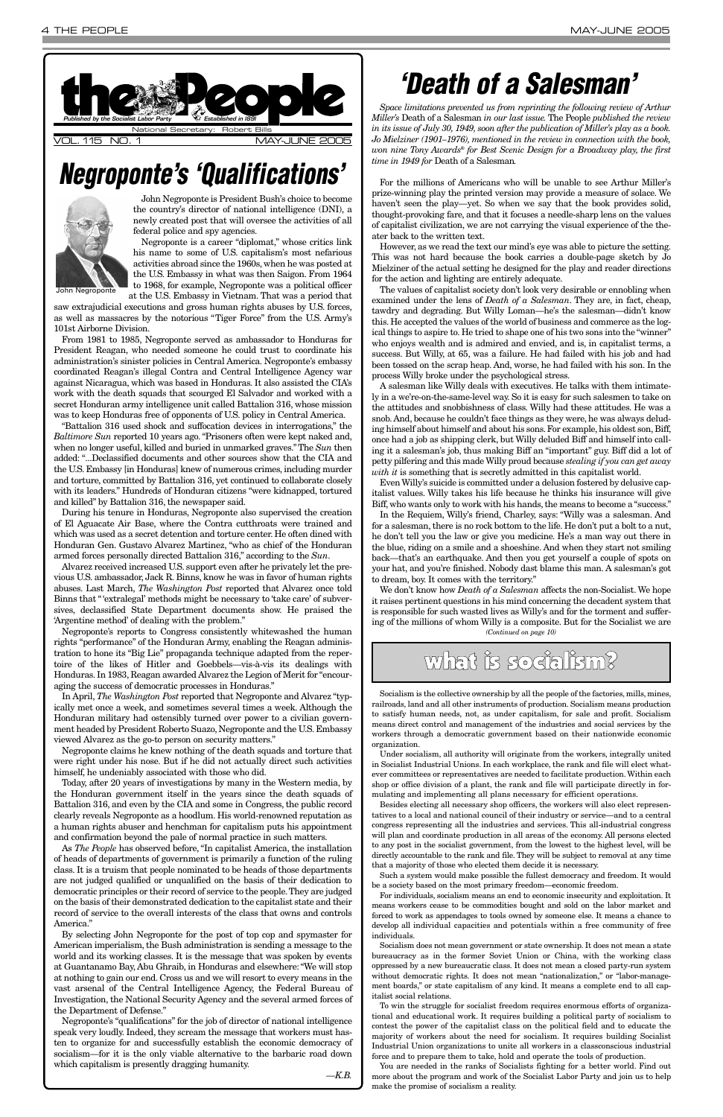John Negroponte is President Bush's choice to become the country's director of national intelligence (DNI), a newly created post that will oversee the activities of all federal police and spy agencies.



Negroponte is a career "diplomat," whose critics link his name to some of U.S. capitalism's most nefarious activities abroad since the 1960s, when he was posted at the U.S. Embassy in what was then Saigon. From 1964 to 1968, for example, Negroponte was a political officer at the U.S. Embassy in Vietnam. That was a period that

saw extrajudicial executions and gross human rights abuses by U.S. forces, as well as massacres by the notorious "Tiger Force" from the U.S. Army's 101st Airborne Division.

From 1981 to 1985, Negroponte served as ambassador to Honduras for President Reagan, who needed someone he could trust to coordinate his administration's sinister policies in Central America. Negroponte's embassy coordinated Reagan's illegal Contra and Central Intelligence Agency war against Nicaragua, which was based in Honduras. It also assisted the CIA's work with the death squads that scourged El Salvador and worked with a secret Honduran army intelligence unit called Battalion 316, whose mission was to keep Honduras free of opponents of U.S. policy in Central America.

"Battalion 316 used shock and suffocation devices in interrogations," the *Baltimore Sun* reported 10 years ago. "Prisoners often were kept naked and, when no longer useful, killed and buried in unmarked graves." The *Sun* then added: "...Declassified documents and other sources show that the CIA and the U.S. Embassy [in Honduras] knew of numerous crimes, including murder and torture, committed by Battalion 316, yet continued to collaborate closely with its leaders." Hundreds of Honduran citizens "were kidnapped, tortured and killed" by Battalion 316, the newspaper said.

During his tenure in Honduras, Negroponte also supervised the creation of El Aguacate Air Base, where the Contra cutthroats were trained and which was used as a secret detention and torture center. He often dined with Honduran Gen. Gustavo Alvarez Martinez, "who as chief of the Honduran armed forces personally directed Battalion 316," according to the *Sun*.

Alvarez received increased U.S. support even after he privately let the previous U.S. ambassador, Jack R. Binns, know he was in favor of human rights abuses. Last March, *The Washington Post* reported that Alvarez once told Binns that "'extralegal' methods might be necessary to 'take care' of subversives, declassified State Department documents show. He praised the 'Argentine method' of dealing with the problem."

Negroponte's reports to Congress consistently whitewashed the human rights "performance" of the Honduran Army, enabling the Reagan administration to hone its "Big Lie" propaganda technique adapted from the repertoire of the likes of Hitler and Goebbels—vis-à-vis its dealings with Honduras. In 1983, Reagan awarded Alvarez the Legion of Merit for "encouraging the success of democratic processes in Honduras."

In April, *The Washington Post* reported that Negroponte and Alvarez "typically met once a week, and sometimes several times a week. Although the Honduran military had ostensibly turned over power to a civilian government headed by President Roberto Suazo, Negroponte and the U.S. Embassy viewed Alvarez as the go-to person on security matters."

Negroponte claims he knew nothing of the death squads and torture that were right under his nose. But if he did not actually direct such activities himself, he undeniably associated with those who did.

Today, after 20 years of investigations by many in the Western media, by the Honduran government itself in the years since the death squads of Battalion 316, and even by the CIA and some in Congress, the public record clearly reveals Negroponte as a hoodlum. His world-renowned reputation as

a human rights abuser and henchman for capitalism puts his appointment and confirmation beyond the pale of normal practice in such matters.

As *The People* has observed before, "In capitalist America, the installation of heads of departments of government is primarily a function of the ruling class. It is a truism that people nominated to be heads of those departments are not judged qualified or unqualified on the basis of their dedication to democratic principles or their record of service to the people.They are judged on the basis of their demonstrated dedication to the capitalist state and their record of service to the overall interests of the class that owns and controls America."

<span id="page-3-0"></span>

By selecting John Negroponte for the post of top cop and spymaster for American imperialism, the Bush administration is sending a message to the world and its working classes. It is the message that was spoken by events at Guantanamo Bay, Abu Ghraib, in Honduras and elsewhere: "We will stop at nothing to gain our end. Cross us and we will resort to every means in the vast arsenal of the Central Intelligence Agency, the Federal Bureau of Investigation, the National Security Agency and the several armed forces of the Department of Defense."

Negroponte's "qualifications" for the job of director of national intelligence speak very loudly. Indeed, they scream the message that workers must hasten to organize for and successfully establish the economic democracy of socialism—for it is the only viable alternative to the barbaric road down which capitalism is presently dragging humanity.

*—K.B.*

*Space limitations prevented us from reprinting the following review of Arthur Miller's* Death of a Salesman *in our last issue.* The People *published the review in its issue of July 30, 1949, soon after the publication of Miller's play as a book. Jo Mielziner (1901–1976), mentioned in the review in connection with the book, won nine Tony Awards® for Best Scenic Design for a Broadway play, the first time in 1949 for* Death of a Salesman*.*

For the millions of Americans who will be unable to see Arthur Miller's prize-winning play the printed version may provide a measure of solace. We haven't seen the play—yet. So when we say that the book provides solid, thought-provoking fare, and that it focuses a needle-sharp lens on the values of capitalist civilization, we are not carrying the visual experience of the theater back to the written text.

However, as we read the text our mind's eye was able to picture the setting. This was not hard because the book carries a double-page sketch by Jo Mielziner of the actual setting he designed for the play and reader directions for the action and lighting are entirely adequate.

The values of capitalist society don't look very desirable or ennobling when examined under the lens of *Death of a Salesman*. They are, in fact, cheap, tawdry and degrading. But Willy Loman—he's the salesman—didn't know this. He accepted the values of the world of business and commerce as the logical things to aspire to. He tried to shape one of his two sons into the "winner" who enjoys wealth and is admired and envied, and is, in capitalist terms, a success. But Willy, at 65, was a failure. He had failed with his job and had been tossed on the scrap heap. And, worse, he had failed with his son. In the process Willy broke under the psychological stress.

A salesman like Willy deals with executives. He talks with them intimately in a we're-on-the-same-level way. So it is easy for such salesmen to take on the attitudes and snobbishness of class. Willy had these attitudes. He was a snob. And, because he couldn't face things as they were, he was always deluding himself about himself and about his sons. For example, his oldest son, Biff, once had a job as shipping clerk, but Willy deluded Biff and himself into calling it a salesman's job, thus making Biff an "important" guy. Biff did a lot of petty pilfering and this made Willy proud because *stealing if you can get away with it* is something that is secretly admitted in this capitalist world.

Even Willy's suicide is committed under a delusion fostered by delusive capitalist values. Willy takes his life because he thinks his insurance will give Biff, who wants only to work with his hands, the means to become a "success."

In the Requiem, Willy's friend, Charley, says: "Willy was a salesman. And for a salesman, there is no rock bottom to the life. He don't put a bolt to a nut, he don't tell you the law or give you medicine. He's a man way out there in the blue, riding on a smile and a shoeshine. And when they start not smiling back—that's an earthquake. And then you get yourself a couple of spots on your hat, and you're finished. Nobody dast blame this man. A salesman's got to dream, boy. It comes with the territory."

We don't know how *Death of a Salesman* affects the non-Socialist. We hope it raises pertinent questions in his mind concerning the decadent system that is responsible for such wasted lives as Willy's and for the torment and suffering of the millions of whom Willy is a composite. But for the Socialist we are

## *Negroponte's 'Qualifications'*

### *'Death of a Salesman'*

Socialism is the collective ownership by all the people of the factories, mills, mines, railroads, land and all other instruments of production. Socialism means production to satisfy human needs, not, as under capitalism, for sale and profit. Socialism means direct control and management of the industries and social services by the workers through a democratic government based on their nationwide economic organization.

Under socialism, all authority will originate from the workers, integrally united in Socialist Industrial Unions. In each workplace, the rank and file will elect whatever committees or representatives are needed to facilitate production. Within each shop or office division of a plant, the rank and file will participate directly in formulating and implementing all plans necessary for efficient operations.

Besides electing all necessary shop officers, the workers will also elect representatives to a local and national council of their industry or service—and to a central

congress representing all the industries and services. This all-industrial congress will plan and coordinate production in all areas of the economy. All persons elected to any post in the socialist government, from the lowest to the highest level, will be directly accountable to the rank and file. They will be subject to removal at any time that a majority of those who elected them decide it is necessary.

Such a system would make possible the fullest democracy and freedom. It would be a society based on the most primary freedom—economic freedom.

For individuals, socialism means an end to economic insecurity and exploitation. It means workers cease to be commodities bought and sold on the labor market and forced to work as appendages to tools owned by someone else. It means a chance to develop all individual capacities and potentials within a free community of free individuals.

Socialism does not mean government or state ownership. It does not mean a state bureaucracy as in the former Soviet Union or China, with the working class oppressed by a new bureaucratic class. It does not mean a closed party-run system without democratic rights. It does not mean "nationalization," or "labor-management boards," or state capitalism of any kind. It means a complete end to all capitalist social relations.

To win the struggle for socialist freedom requires enormous efforts of organizational and educational work. It requires building a political party of socialism to contest the power of the capitalist class on the political field and to educate the majority of workers about the need for socialism. It requires building Socialist Industrial Union organizations to unite all workers in a classconscious industrial force and to prepare them to take, hold and operate the tools of production.

You are needed in the ranks of Socialists fighting for a better world. Find out more about the program and work of the Socialist Labor Party and join us to help make the promise of socialism a reality.

*(Continued on page 10)*

### what is socialism?

John Negroponte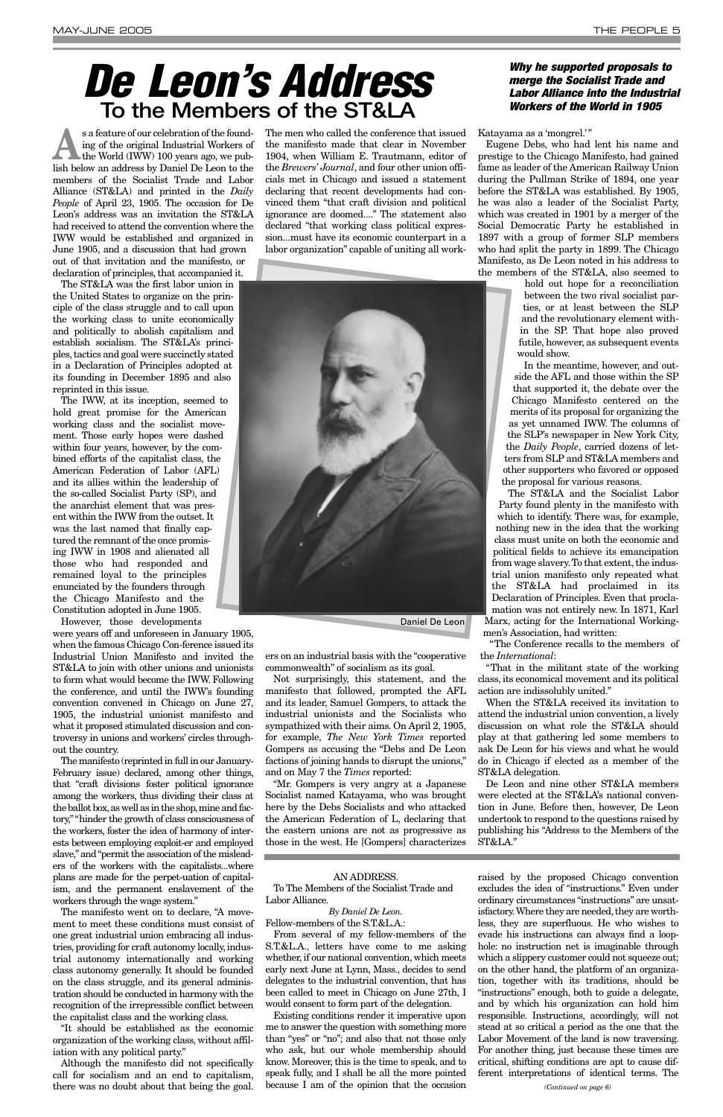s a feature of our celebration of the found-<br>
ing of the original Industrial Workers of<br>
the World (IWW) 100 years ago, we pub-<br>
light halong an address by David Da Leon to the ing of the original Industrial Workers of lish below an address by Daniel De Leon to the members of the Socialist Trade and Labor Alliance (ST&LA) and printed in the *Daily People* of April 23, 1905. The occasion for De Leon's address was an invitation the ST&LA had received to attend the convention where the IWW would be established and organized in June 1905, and a discussion that had grown out of that invitation and the manifesto, or

declaration of principles, that accompanied it. The ST&LA was the first labor union in the United States to organize on the principle of the class struggle and to call upon the working class to unite economically and politically to abolish capitalism and establish socialism. The ST&LA's principles, tactics and goal were succinctly stated in a Declaration of Principles adopted at its founding in December 1895 and also reprinted in this issue.

The IWW, at its inception, seemed to hold great promise for the American working class and the socialist movement. Those early hopes were dashed within four years, however, by the combined efforts of the capitalist class, the American Federation of Labor (AFL) and its allies within the leadership of the so-called Socialist Party (SP), and the anarchist element that was present within the IWW from the outset. It was the last named that finally captured the remnant of the once promising IWW in 1908 and alienated all those who had responded and remained loyal to the principles enunciated by the founders through the Chicago Manifesto and the Constitution adopted in June 1905.

However, those developments

were years off and unforeseen in January 1905, when the famous Chicago Con-ference issued its Industrial Union Manifesto and invited the ST&LA to join with other unions and unionists to form what would become the IWW. Following the conference, and until the IWW's founding convention convened in Chicago on June 27, 1905, the industrial unionist manifesto and what it proposed stimulated discussion and controversy in unions and workers' circles throughout the country.

The manifesto (reprinted in full in our January-February issue) declared, among other things, that "craft divisions foster political ignorance among the workers, thus dividing their class at the ballot box, as well as in the shop, mine and factory,""hinder the growth of class consciousness of the workers, foster the idea of harmony of interests between employing exploit-er and employed slave,"and "permit the association of the misleaders of the workers with the capitalists...where plans are made for the perpet-uation of capitalism, and the permanent enslavement of the workers through the wage system." The manifesto went on to declare, "A movement to meet these conditions must consist of one great industrial union embracing all industries, providing for craft autonomy locally, industrial autonomy internationally and working class autonomy generally. It should be founded on the class struggle, and its general administration should be conducted in harmony with the recognition of the irrepressible conflict between the capitalist class and the working class.

"It should be established as the economic organization of the working class, without affiliation with any political party."

Although the manifesto did not specifically call for socialism and an end to capitalism, there was no doubt about that being the goal. The men who called the conference that issued the manifesto made that clear in November 1904, when William E. Trautmann, editor of the *Brewers' Journal*, and four other union officials met in Chicago and issued a statement declaring that recent developments had convinced them "that craft division and political ignorance are doomed...." The statement also declared "that working class political expression...must have its economic counterpart in a labor organization" capable of uniting all work-

ers on an industrial basis with the "cooperative commonwealth" of socialism as its goal.

Not surprisingly, this statement, and the manifesto that followed, prompted the AFL and its leader, Samuel Gompers, to attack the industrial unionists and the Socialists who sympathized with their aims. On April 2, 1905, for example, *The New York Times* reported Gompers as accusing the "Debs and De Leon factions of joining hands to disrupt the unions," and on May 7 the *Times* reported:

"Mr. Gompers is very angry at a Japanese Socialist named Katayama, who was brought here by the Debs Socialists and who attacked the American Federation of L, declaring that the eastern unions are not as progressive as those in the west. He [Gompers] characterizes

Katayama as a 'mongrel.'"

Eugene Debs, who had lent his name and prestige to the Chicago Manifesto, had gained fame as leader of the American Railway Union during the Pullman Strike of 1894, one year before the ST&LA was established. By 1905, he was also a leader of the Socialist Party, which was created in 1901 by a merger of the Social Democratic Party he established in 1897 with a group of former SLP members who had split the party in 1899. The Chicago Manifesto, as De Leon noted in his address to the members of the ST&LA, also seemed to

> hold out hope for a reconciliation between the two rival socialist parties, or at least between the SLP and the revolutionary element within the SP. That hope also proved futile, however, as subsequent events would show.

In the meantime, however, and outside the AFL and those within the SP that supported it, the debate over the Chicago Manifesto centered on the merits of its proposal for organizing the as yet unnamed IWW. The columns of the SLP's newspaper in New York City, the *Daily People*, carried dozens of letters from SLP and ST&LA members and other supporters who favored or opposed the proposal for various reasons.

The ST&LA and the Socialist Labor Party found plenty in the manifesto with which to identify. There was, for example, nothing new in the idea that the working class must unite on both the economic and political fields to achieve its emancipation from wage slavery.To that extent, the industrial union manifesto only repeated what the ST&LA had proclaimed in its Declaration of Principles. Even that proclamation was not entirely new. In 1871, Karl Marx, acting for the International Workingmen's Association, had written:

"The Conference recalls to the members of the *International*:

"That in the militant state of the working class, its economical movement and its political action are indissolubly united."

When the ST&LA received its invitation to attend the industrial union convention, a lively discussion on what role the ST&LA should play at that gathering led some members to ask De Leon for his views and what he would do in Chicago if elected as a member of the ST&LA delegation.

De Leon and nine other ST&LA members were elected at the ST&LA's national convention in June. Before then, however, De Leon undertook to respond to the questions raised by

publishing his "Address to the Members of the ST&LA."

## <span id="page-4-0"></span>*De Leon's Address* **To the Members of the ST&LA**

### *Why he supported proposals to merge the Socialist Trade and Labor Alliance into the Industrial Workers of the World in 1905*



Daniel De Leon

### AN ADDRESS.

To The Members of the Socialist Trade and Labor Alliance.

### *By Daniel De Leon.*

Fellow-members of the S.T.&L.A.:

From several of my fellow-members of the S.T.&L.A., letters have come to me asking whether, if our national convention, which meets early next June at Lynn, Mass., decides to send delegates to the industrial convention, that has been called to meet in Chicago on June 27th, I would consent to form part of the delegation.

Existing conditions render it imperative upon me to answer the question with something more than "yes" or "no"; and also that not those only who ask, but our whole membership should know. Moreover, this is the time to speak, and to speak fully, and I shall be all the more pointed because I am of the opinion that the occasion

raised by the proposed Chicago convention excludes the idea of "instructions." Even under ordinary circumstances "instructions" are unsatisfactory. Where they are needed, they are worthless, they are superfluous. He who wishes to evade his instructions can always find a loophole: no instruction net is imaginable through which a slippery customer could not squeeze out; on the other hand, the platform of an organization, together with its traditions, should be "instructions" enough, both to guide a delegate, and by which his organization can hold him responsible. Instructions, accordingly, will not stead at so critical a period as the one that the Labor Movement of the land is now traversing. For another thing, just because these times are critical, shifting conditions are apt to cause different interpretations of identical terms. The

*(Continued on page 6)*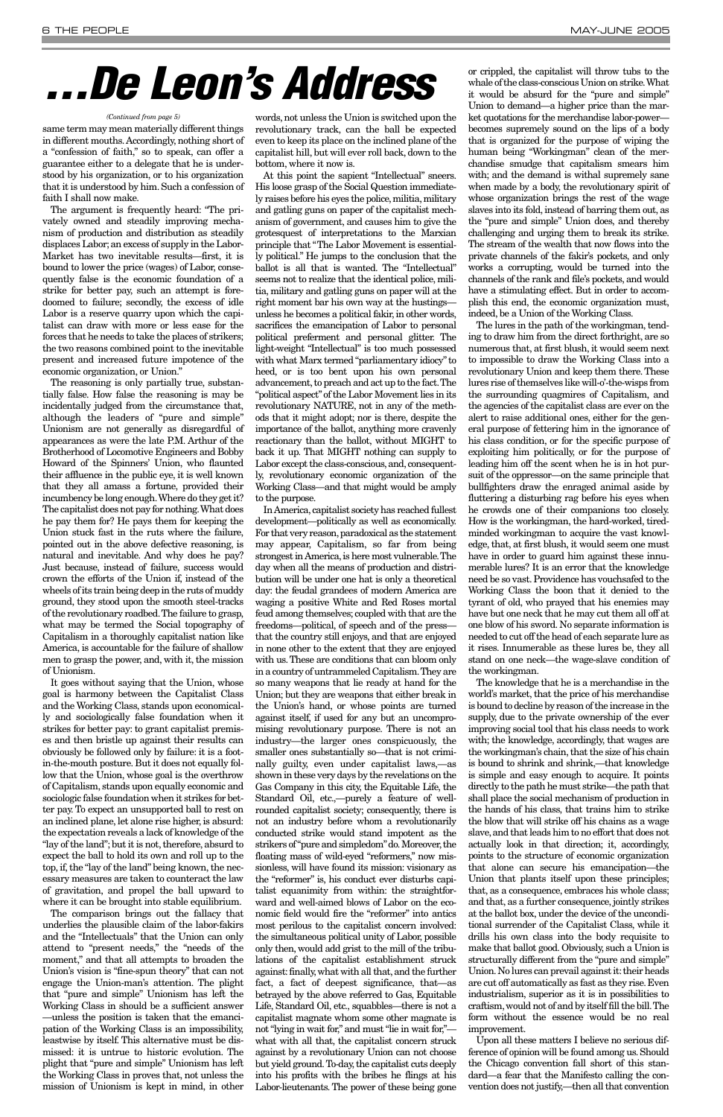same term may mean materially different things in different mouths.Accordingly, nothing short of a "confession of faith," so to speak, can offer a guarantee either to a delegate that he is understood by his organization, or to his organization that it is understood by him. Such a confession of faith I shall now make.

The argument is frequently heard: "The privately owned and steadily improving mechanism of production and distribution as steadily displaces Labor;an excess of supply in the Labor-Market has two inevitable results—first, it is bound to lower the price (wages) of Labor, consequently false is the economic foundation of a strike for better pay, such an attempt is foredoomed to failure; secondly, the excess of idle Labor is a reserve quarry upon which the capitalist can draw with more or less ease for the forces that he needs to take the places of strikers; the two reasons combined point to the inevitable present and increased future impotence of the economic organization, or Union."

The reasoning is only partially true, substantially false. How false the reasoning is may be incidentally judged from the circumstance that, although the leaders of "pure and simple" Unionism are not generally as disregardful of appearances as were the late P.M. Arthur of the Brotherhood of Locomotive Engineers and Bobby Howard of the Spinners' Union, who flaunted their affluence in the public eye, it is well known that they all amass a fortune, provided their incumbency be long enough.Where do they get it? The capitalist does not pay for nothing.What does he pay them for? He pays them for keeping the Union stuck fast in the ruts where the failure, pointed out in the above defective reasoning, is natural and inevitable. And why does he pay? Just because, instead of failure, success would crown the efforts of the Union if, instead of the wheels of its train being deep in the ruts of muddy ground, they stood upon the smooth steel-tracks of the revolutionary roadbed.The failure to grasp, what may be termed the Social topography of Capitalism in a thoroughly capitalist nation like America, is accountable for the failure of shallow men to grasp the power, and, with it, the mission of Unionism.

It goes without saying that the Union, whose goal is harmony between the Capitalist Class and the Working Class, stands upon economically and sociologically false foundation when it strikes for better pay: to grant capitalist premises and then bristle up against their results can obviously be followed only by failure: it is a footin-the-mouth posture. But it does not equally follow that the Union, whose goal is the overthrow of Capitalism, stands upon equally economic and sociologic false foundation when it strikes for better pay. To expect an unsupported ball to rest on an inclined plane, let alone rise higher, is absurd: the expectation reveals a lack of knowledge of the "lay of the land"; but it is not, therefore, absurd to expect the ball to hold its own and roll up to the top, if, the "lay of the land" being known, the necessary measures are taken to counteract the law of gravitation, and propel the ball upward to where it can be brought into stable equilibrium. The comparison brings out the fallacy that underlies the plausible claim of the labor-fakirs and the "Intellectuals" that the Union can only attend to "present needs," the "needs of the moment," and that all attempts to broaden the Union's vision is "fine-spun theory" that can not engage the Union-man's attention. The plight that "pure and simple" Unionism has left the Working Class in should be a sufficient answer —unless the position is taken that the emancipation of the Working Class is an impossibility, leastwise by itself. This alternative must be dismissed: it is untrue to historic evolution. The plight that "pure and simple" Unionism has left the Working Class in proves that, not unless the mission of Unionism is kept in mind, in other words, not unless the Union is switched upon the revolutionary track, can the ball be expected even to keep its place on the inclined plane of the capitalist hill, but will ever roll back, down to the bottom, where it now is.

At this point the sapient "Intellectual" sneers. His loose grasp of the Social Question immediately raises before his eyes the police, militia, military and gatling guns on paper of the capitalist mechanism of government, and causes him to give the grotesquest of interpretations to the Marxian principle that "The Labor Movement is essentially political." He jumps to the conclusion that the ballot is all that is wanted. The "Intellectual" seems not to realize that the identical police, militia, military and gatling guns on paper will at the right moment bar his own way at the hustings unless he becomes a political fakir, in other words, sacrifices the emancipation of Labor to personal political preferment and personal glitter. The light-weight "Intellectual" is too much possessed with what Marx termed "parliamentary idiocy" to heed, or is too bent upon his own personal advancement, to preach and act up to the fact. The "political aspect"of the Labor Movement lies in its revolutionary NATURE, not in any of the methods that it might adopt; nor is there, despite the importance of the ballot, anything more cravenly reactionary than the ballot, without MIGHT to back it up. That MIGHT nothing can supply to Labor except the class-conscious, and, consequently, revolutionary economic organization of the Working Class—and that might would be amply to the purpose.

In America,capitalist society has reached fullest development—politically as well as economically. For that very reason,paradoxical as the statement may appear, Capitalism, so far from being strongest in America, is here most vulnerable. The day when all the means of production and distribution will be under one hat is only a theoretical day: the feudal grandees of modern America are waging a positive White and Red Roses mortal feud among themselves; coupled with that are the freedoms—political, of speech and of the press that the country still enjoys, and that are enjoyed in none other to the extent that they are enjoyed with us.These are conditions that can bloom only in a country of untrammeled Capitalism.They are so many weapons that lie ready at hand for the Union; but they are weapons that either break in the Union's hand, or whose points are turned against itself, if used for any but an uncompromising revolutionary purpose. There is not an industry—the larger ones conspicuously, the smaller ones substantially so—that is not criminally guilty, even under capitalist laws,—as shown in these very days by the revelations on the Gas Company in this city, the Equitable Life, the Standard Oil, etc.,—purely a feature of wellrounded capitalist society; consequently, there is not an industry before whom a revolutionarily conducted strike would stand impotent as the strikers of "pure and simpledom" do. Moreover, the floating mass of wild-eyed "reformers," now missionless, will have found its mission: visionary as the "reformer" is, his conduct ever disturbs capitalist equanimity from within: the straightforward and well-aimed blows of Labor on the economic field would fire the "reformer" into antics most perilous to the capitalist concern involved: the simultaneous political unity of Labor, possible only then, would add grist to the mill of the tribulations of the capitalist establishment struck against: finally, what with all that, and the further fact, a fact of deepest significance, that—as betrayed by the above referred to Gas, Equitable Life, Standard Oil, etc., squabbles—there is not a capitalist magnate whom some other magnate is not "lying in wait for," and must "lie in wait for," what with all that, the capitalist concern struck against by a revolutionary Union can not choose but yield ground.To-day, the capitalist cuts deeply into his profits with the bribes he flings at his Labor-lieutenants. The power of these being gone

or crippled, the capitalist will throw tubs to the whale of the class-conscious Union on strike.What it would be absurd for the "pure and simple" Union to demand—a higher price than the market quotations for the merchandise labor-power becomes supremely sound on the lips of a body that is organized for the purpose of wiping the human being "Workingman" clean of the merchandise smudge that capitalism smears him with; and the demand is withal supremely sane when made by a body, the revolutionary spirit of whose organization brings the rest of the wage slaves into its fold, instead of barring them out, as the "pure and simple" Union does, and thereby challenging and urging them to break its strike. The stream of the wealth that now flows into the private channels of the fakir's pockets, and only works a corrupting, would be turned into the channels of the rank and file's pockets, and would have a stimulating effect. But in order to accomplish this end, the economic organization must, indeed, be a Union of the Working Class.

The lures in the path of the workingman, tending to draw him from the direct forthright, are so numerous that, at first blush, it would seem next to impossible to draw the Working Class into a revolutionary Union and keep them there. These lures rise of themselves like will-o'-the-wisps from the surrounding quagmires of Capitalism, and the agencies of the capitalist class are ever on the alert to raise additional ones, either for the general purpose of fettering him in the ignorance of his class condition, or for the specific purpose of exploiting him politically, or for the purpose of leading him off the scent when he is in hot pursuit of the oppressor—on the same principle that bullfighters draw the enraged animal aside by fluttering a disturbing rag before his eyes when he crowds one of their companions too closely. How is the workingman, the hard-worked, tiredminded workingman to acquire the vast knowledge, that, at first blush, it would seem one must have in order to guard him against these innumerable lures? It is an error that the knowledge need be so vast. Providence has vouchsafed to the Working Class the boon that it denied to the tyrant of old, who prayed that his enemies may have but one neck that he may cut them all off at one blow of his sword. No separate information is needed to cut off the head of each separate lure as it rises. Innumerable as these lures be, they all stand on one neck—the wage-slave condition of the workingman.

The knowledge that he is a merchandise in the world's market, that the price of his merchandise is bound to decline by reason of the increase in the supply, due to the private ownership of the ever improving social tool that his class needs to work with; the knowledge, accordingly, that wages are the workingman's chain, that the size of his chain is bound to shrink and shrink,—that knowledge is simple and easy enough to acquire. It points directly to the path he must strike—the path that shall place the social mechanism of production in the hands of his class, that trains him to strike the blow that will strike off his chains as a wage slave, and that leads him to no effort that does not actually look in that direction; it, accordingly, points to the structure of economic organization that alone can secure his emancipation—the Union that plants itself upon these principles; that, as a consequence, embraces his whole class; and that, as a further consequence, jointly strikes at the ballot box, under the device of the unconditional surrender of the Capitalist Class, while it drills his own class into the body requisite to make that ballot good. Obviously, such a Union is structurally different from the "pure and simple" Union. No lures can prevail against it: their heads are cut off automatically as fast as they rise.Even industrialism, superior as it is in possibilities to craftism,would not of and by itself fill the bill.The form without the essence would be no real improvement. Upon all these matters I believe no serious difference of opinion will be found among us. Should the Chicago convention fall short of this standard—a fear that the Manifesto calling the convention does not justify,—then all that convention

# *. . . De Leon's Address*

### *(Continued from page 5)*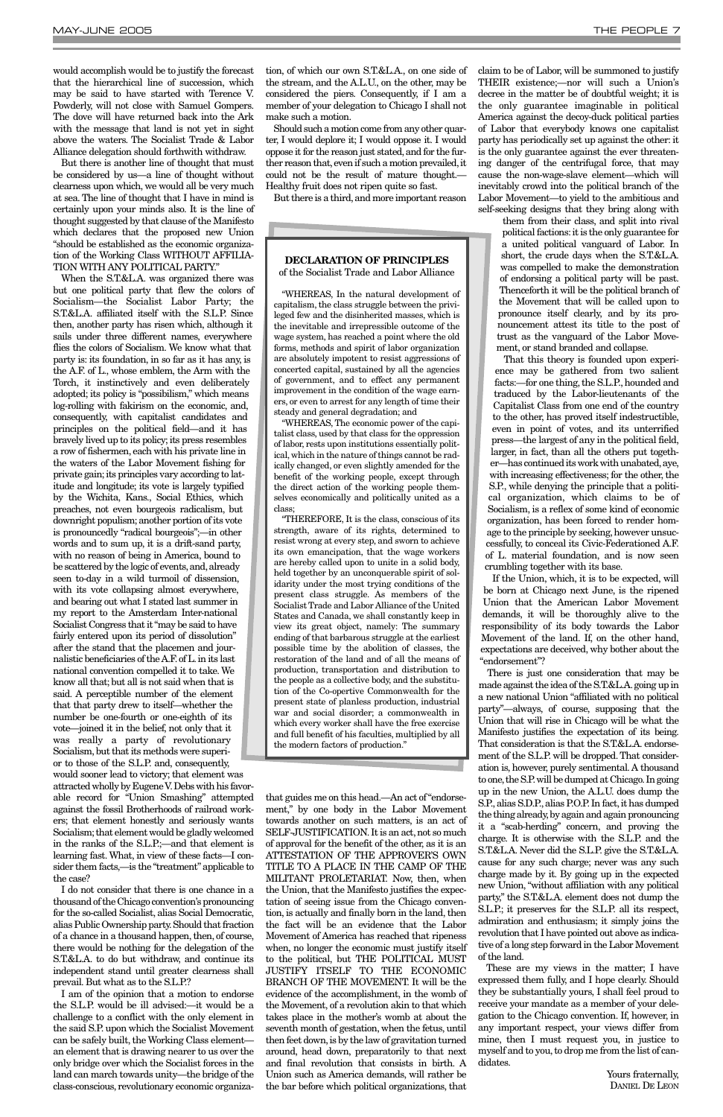would accomplish would be to justify the forecast that the hierarchical line of succession, which may be said to have started with Terence V. Powderly, will not close with Samuel Gompers. The dove will have returned back into the Ark with the message that land is not yet in sight above the waters. The Socialist Trade & Labor Alliance delegation should forthwith withdraw.

But there is another line of thought that must be considered by us—a line of thought without clearness upon which, we would all be very much at sea. The line of thought that I have in mind is certainly upon your minds also. It is the line of thought suggested by that clause of the Manifesto which declares that the proposed new Union "should be established as the economic organization of the Working Class WITHOUT AFFILIA-TION WITH ANY POLITICAL PARTY."

When the S.T.&L.A. was organized there was but one political party that flew the colors of Socialism—the Socialist Labor Party; the S.T.&L.A. affiliated itself with the S.L.P. Since then, another party has risen which, although it sails under three different names, everywhere flies the colors of Socialism. We know what that party is: its foundation, in so far as it has any, is the A.F. of L., whose emblem, the Arm with the Torch, it instinctively and even deliberately adopted; its policy is "possibilism," which means log-rolling with fakirism on the economic, and, consequently, with capitalist candidates and principles on the political field—and it has bravely lived up to its policy; its press resembles a row of fishermen, each with his private line in the waters of the Labor Movement fishing for private gain; its principles vary according to latitude and longitude; its vote is largely typified by the Wichita, Kans., Social Ethics, which preaches, not even bourgeois radicalism, but downright populism;another portion of its vote is pronouncedly "radical bourgeois";—in other words and to sum up, it is a drift-sand party, with no reason of being in America, bound to be scattered by the logic of events, and, already seen to-day in a wild turmoil of dissension, with its vote collapsing almost everywhere, and bearing out what I stated last summer in my report to the Amsterdam Inter-national Socialist Congress that it "may be said to have fairly entered upon its period of dissolution" after the stand that the placemen and journalistic beneficiaries of the A.F.of L.in its last national convention compelled it to take. We know all that; but all is not said when that is said. A perceptible number of the element that that party drew to itself—whether the number be one-fourth or one-eighth of its vote—joined it in the belief, not only that it was really a party of revolutionary Socialism,but that its methods were superior to those of the S.L.P. and, consequently, would sooner lead to victory; that element was attracted wholly by Eugene V.Debs with his favor-

able record for "Union Smashing" attempted against the fossil Brotherhoods of railroad work-

ers; that element honestly and seriously wants Socialism; that element would be gladly welcomed in the ranks of the S.L.P.;—and that element is learning fast. What, in view of these facts—I consider them facts,—is the "treatment" applicable to the case?

I do not consider that there is one chance in a thousand of the Chicago convention's pronouncing for the so-called Socialist, alias Social Democratic, alias Public Ownership party.Should that fraction of a chance in a thousand happen, then, of course, there would be nothing for the delegation of the S.T.&L.A. to do but withdraw, and continue its independent stand until greater clearness shall prevail. But what as to the S.L.P.?

I am of the opinion that a motion to endorse the S.L.P. would be ill advised:—it would be a challenge to a conflict with the only element in the said S.P. upon which the Socialist Movement can be safely built, the Working Class element an element that is drawing nearer to us over the only bridge over which the Socialist forces in the land can march towards unity—the bridge of the class-conscious, revolutionary economic organization, of which our own S.T.&L.A., on one side of the stream, and the A.L.U., on the other, may be considered the piers. Consequently, if I am a member of your delegation to Chicago I shall not make such a motion.

Should such a motion come from any other quarter, I would deplore it; I would oppose it. I would oppose it for the reason just stated,and for the further reason that, even if such a motion prevailed, it could not be the result of mature thought. Healthy fruit does not ripen quite so fast.

But there is a third, and more important reason

that guides me on this head.—An act of "endorsement," by one body in the Labor Movement towards another on such matters, is an act of SELF-JUSTIFICATION. It is an act, not so much of approval for the benefit of the other, as it is an ATTESTATION OF THE APPROVER'S OWN TITLE TO A PLACE IN THE CAMP OF THE MILITANT PROLETARIAT. Now, then, when the Union, that the Manifesto justifies the expectation of seeing issue from the Chicago convention, is actually and finally born in the land, then the fact will be an evidence that the Labor Movement of America has reached that ripeness when, no longer the economic must justify itself to the political, but THE POLITICAL MUST JUSTIFY ITSELF TO THE ECONOMIC BRANCH OF THE MOVEMENT. It will be the evidence of the accomplishment, in the womb of the Movement, of a revolution akin to that which takes place in the mother's womb at about the seventh month of gestation, when the fetus, until then feet down, is by the law of gravitation turned around, head down, preparatorily to that next and final revolution that consists in birth. A Union such as America demands, will rather be the bar before which political organizations, that claim to be of Labor, will be summoned to justify THEIR existence;—nor will such a Union's decree in the matter be of doubtful weight; it is the only guarantee imaginable in political America against the decoy-duck political parties of Labor that everybody knows one capitalist party has periodically set up against the other: it is the only guarantee against the ever threatening danger of the centrifugal force, that may cause the non-wage-slave element—which will inevitably crowd into the political branch of the Labor Movement—to yield to the ambitious and self-seeking designs that they bring along with

them from their class, and split into rival political factions:it is the only guarantee for a united political vanguard of Labor. In short, the crude days when the S.T.&L.A. was compelled to make the demonstration of endorsing a political party will be past. Thenceforth it will be the political branch of the Movement that will be called upon to pronounce itself clearly, and by its pronouncement attest its title to the post of trust as the vanguard of the Labor Movement, or stand branded and collapse.

That this theory is founded upon experience may be gathered from two salient facts:—for one thing, the S.L.P., hounded and traduced by the Labor-lieutenants of the Capitalist Class from one end of the country to the other, has proved itself indestructible, even in point of votes, and its unterrified press—the largest of any in the political field, larger, in fact, than all the others put together—has continued its work with unabated,aye, with increasing effectiveness; for the other, the S.P., while denying the principle that a political organization, which claims to be of Socialism, is a reflex of some kind of economic organization, has been forced to render homage to the principle by seeking, however unsuccessfully, to conceal its Civic-Federationed A.F. of L. material foundation, and is now seen crumbling together with its base.

If the Union, which, it is to be expected, will be born at Chicago next June, is the ripened Union that the American Labor Movement demands, it will be thoroughly alive to the responsibility of its body towards the Labor Movement of the land. If, on the other hand, expectations are deceived, why bother about the "endorsement"?

There is just one consideration that may be made against the idea of the S.T.&L.A.going up in a new national Union "affiliated with no political party"—always, of course, supposing that the Union that will rise in Chicago will be what the Manifesto justifies the expectation of its being. That consideration is that the S.T.&L.A. endorsement of the S.L.P. will be dropped. That consideration is, however, purely sentimental. A thousand to one, the S.P. will be dumped at Chicago. In going up in the new Union, the A.L.U. does dump the S.P.,alias S.D.P.,alias P.O.P.In fact,it has dumped the thing already,by again and again pronouncing it a "scab-herding" concern, and proving the charge. It is otherwise with the S.L.P. and the S.T.&L.A. Never did the S.L.P. give the S.T.&L.A. cause for any such charge; never was any such charge made by it. By going up in the expected new Union, "without affiliation with any political party," the S.T.&L.A. element does not dump the S.L.P.; it preserves for the S.L.P. all its respect, admiration and enthusiasm; it simply joins the revolution that I have pointed out above as indicative of a long step forward in the Labor Movement of the land. These are my views in the matter; I have expressed them fully, and I hope clearly. Should they be substantially yours, I shall feel proud to receive your mandate as a member of your delegation to the Chicago convention. If, however, in any important respect, your views differ from mine, then I must request you, in justice to myself and to you, to drop me from the list of candidates.

> Yours fraternally, DANIEL DE LEON

### **DECLARATION OF PRINCIPLES** of the Socialist Trade and Labor Alliance

"WHEREAS, In the natural development of capitalism, the class struggle between the privileged few and the disinherited masses, which is the inevitable and irrepressible outcome of the wage system, has reached a point where the old forms, methods and spirit of labor organization are absolutely impotent to resist aggressions of concerted capital, sustained by all the agencies of government, and to effect any permanent improvement in the condition of the wage earners, or even to arrest for any length of time their steady and general degradation; and

"WHEREAS, The economic power of the capitalist class, used by that class for the oppression of labor, rests upon institutions essentially political, which in the nature of things cannot be radically changed, or even slightly amended for the benefit of the working people, except through the direct action of the working people themselves economically and politically united as a class;

"THEREFORE, It is the class, conscious of its strength, aware of its rights, determined to resist wrong at every step, and sworn to achieve its own emancipation, that the wage workers are hereby called upon to unite in a solid body, held together by an unconquerable spirit of solidarity under the most trying conditions of the present class struggle. As members of the Socialist Trade and Labor Alliance of the United States and Canada, we shall constantly keep in view its great object, namely: The summary ending of that barbarous struggle at the earliest possible time by the abolition of classes, the restoration of the land and of all the means of production, transportation and distribution to the people as a collective body, and the substitution of the Co-opertive Commonwealth for the present state of planless production, industrial war and social disorder; a commonwealth in which every worker shall have the free exercise and full benefit of his faculties, multiplied by all the modern factors of production."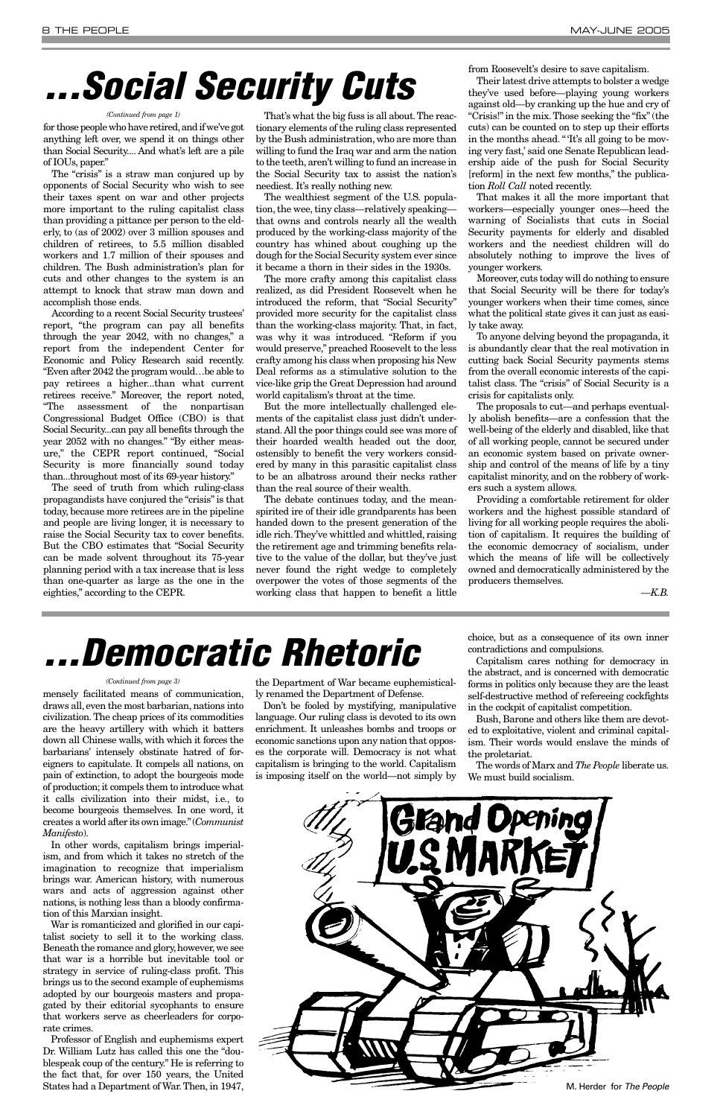for those people who have retired,and if we've got anything left over, we spend it on things other than Social Security.... And what's left are a pile of IOUs, paper."

The "crisis" is a straw man conjured up by opponents of Social Security who wish to see their taxes spent on war and other projects more important to the ruling capitalist class than providing a pittance per person to the elderly, to (as of 2002) over 3 million spouses and children of retirees, to 5.5 million disabled workers and 1.7 million of their spouses and children. The Bush administration's plan for cuts and other changes to the system is an attempt to knock that straw man down and accomplish those ends.

According to a recent Social Security trustees' report, "the program can pay all benefits through the year 2042, with no changes," a report from the independent Center for Economic and Policy Research said recently. "Even after 2042 the program would…be able to pay retirees a higher...than what current retirees receive." Moreover, the report noted, "The assessment of the nonpartisan Congressional Budget Office (CBO) is that Social Security...can pay all benefits through the year 2052 with no changes." "By either measure," the CEPR report continued, "Social Security is more financially sound today than...throughout most of its 69-year history."

The seed of truth from which ruling-class propagandists have conjured the "crisis" is that today, because more retirees are in the pipeline and people are living longer, it is necessary to raise the Social Security tax to cover benefits. But the CBO estimates that "Social Security can be made solvent throughout its 75-year planning period with a tax increase that is less than one-quarter as large as the one in the eighties," according to the CEPR.

That's what the big fuss is all about.The reactionary elements of the ruling class represented by the Bush administration, who are more than willing to fund the Iraq war and arm the nation to the teeth, aren't willing to fund an increase in the Social Security tax to assist the nation's neediest. It's really nothing new.

The wealthiest segment of the U.S. population, the wee, tiny class—relatively speaking that owns and controls nearly all the wealth produced by the working-class majority of the country has whined about coughing up the dough for the Social Security system ever since it became a thorn in their sides in the 1930s.

The more crafty among this capitalist class realized, as did President Roosevelt when he introduced the reform, that "Social Security" provided more security for the capitalist class than the working-class majority. That, in fact, was why it was introduced. "Reform if you would preserve," preached Roosevelt to the less crafty among his class when proposing his New Deal reforms as a stimulative solution to the vice-like grip the Great Depression had around world capitalism's throat at the time.

But the more intellectually challenged elements of the capitalist class just didn't understand.All the poor things could see was more of their hoarded wealth headed out the door, ostensibly to benefit the very workers considered by many in this parasitic capitalist class to be an albatross around their necks rather than the real source of their wealth.

The debate continues today, and the meanspirited ire of their idle grandparents has been handed down to the present generation of the idle rich.They've whittled and whittled, raising the retirement age and trimming benefits relative to the value of the dollar, but they've just never found the right wedge to completely overpower the votes of those segments of the working class that happen to benefit a little from Roosevelt's desire to save capitalism.

Their latest drive attempts to bolster a wedge they've used before—playing young workers against old—by cranking up the hue and cry of "Crisis!" in the mix. Those seeking the "fix" (the cuts) can be counted on to step up their efforts in the months ahead. "'It's all going to be moving very fast,' said one Senate Republican leadership aide of the push for Social Security [reform] in the next few months," the publication *Roll Call* noted recently.

That makes it all the more important that workers—especially younger ones—heed the warning of Socialists that cuts in Social Security payments for elderly and disabled workers and the neediest children will do absolutely nothing to improve the lives of younger workers.

Moreover, cuts today will do nothing to ensure that Social Security will be there for today's younger workers when their time comes, since what the political state gives it can just as easily take away.

To anyone delving beyond the propaganda, it is abundantly clear that the real motivation in cutting back Social Security payments stems from the overall economic interests of the capitalist class. The "crisis" of Social Security is a crisis for capitalists only.

The proposals to cut—and perhaps eventually abolish benefits—are a confession that the well-being of the elderly and disabled, like that of all working people, cannot be secured under an economic system based on private ownership and control of the means of life by a tiny capitalist minority, and on the robbery of workers such a system allows.

Providing a comfortable retirement for older workers and the highest possible standard of living for all working people requires the abolition of capitalism. It requires the building of the economic democracy of socialism, under which the means of life will be collectively owned and democratically administered by the producers themselves.

*—K.B.*

# *. . . Social Security Cuts*

#### *(Continued from page 1)*

mensely facilitated means of communication, draws all, even the most barbarian, nations into civilization. The cheap prices of its commodities are the heavy artillery with which it batters down all Chinese walls, with which it forces the barbarians' intensely obstinate hatred of foreigners to capitulate. It compels all nations, on pain of extinction, to adopt the bourgeois mode of production; it compels them to introduce what it calls civilization into their midst, i.e., to become bourgeois themselves. In one word, it

creates a world after its own image."(*Communist Manifesto*).

In other words, capitalism brings imperialism, and from which it takes no stretch of the imagination to recognize that imperialism brings war. American history, with numerous wars and acts of aggression against other nations, is nothing less than a bloody confirmation of this Marxian insight.

War is romanticized and glorified in our capitalist society to sell it to the working class. Beneath the romance and glory, however, we see that war is a horrible but inevitable tool or strategy in service of ruling-class profit. This brings us to the second example of euphemisms adopted by our bourgeois masters and propagated by their editorial sycophants to ensure that workers serve as cheerleaders for corporate crimes.

Professor of English and euphemisms expert Dr. William Lutz has called this one the "doublespeak coup of the century." He is referring to the fact that, for over 150 years, the United States had a Department of War.Then, in 1947,

the Department of War became euphemistically renamed the Department of Defense.

Don't be fooled by mystifying, manipulative language. Our ruling class is devoted to its own enrichment. It unleashes bombs and troops or economic sanctions upon any nation that opposes the corporate will. Democracy is not what capitalism is bringing to the world. Capitalism is imposing itself on the world—not simply by choice, but as a consequence of its own inner contradictions and compulsions.

Capitalism cares nothing for democracy in the abstract, and is concerned with democratic forms in politics only because they are the least self-destructive method of refereeing cockfights in the cockpit of capitalist competition.

Bush, Barone and others like them are devoted to exploitative, violent and criminal capitalism. Their words would enslave the minds of the proletariat.

The words of Marx and *The People* liberate us. We must build socialism.

# *. . . Democratic Rhetoric*

### *(Continued from page 3)*

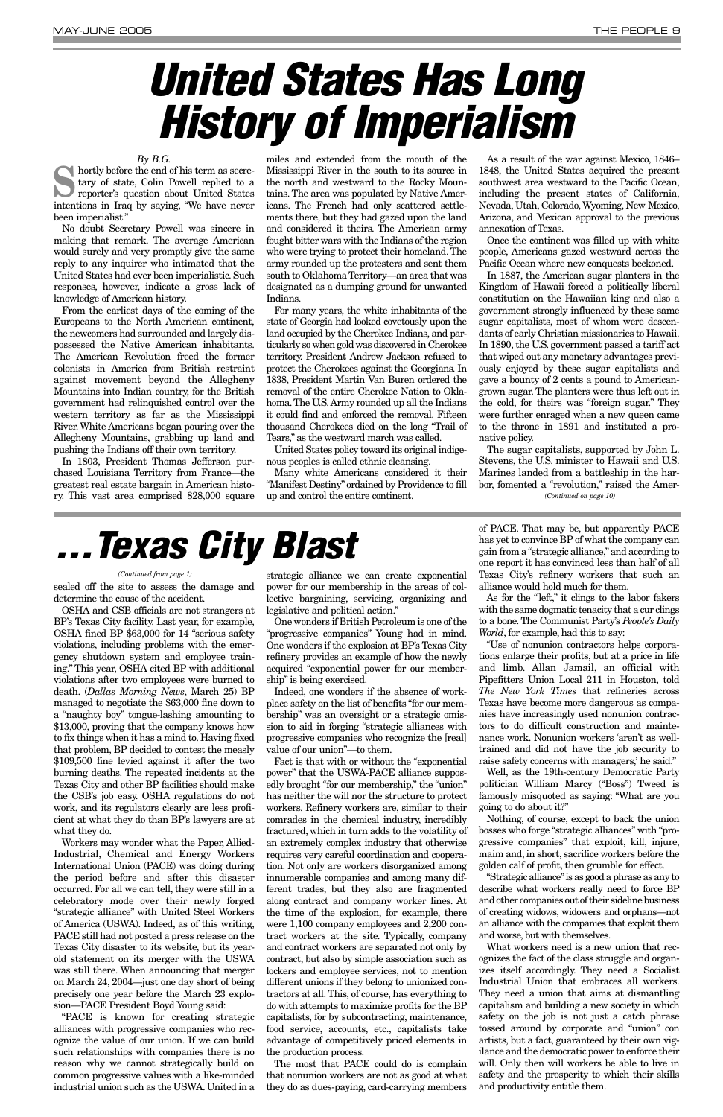sealed off the site to assess the damage and determine the cause of the accident.

OSHA and CSB officials are not strangers at BP's Texas City facility. Last year, for example, OSHA fined BP \$63,000 for 14 "serious safety violations, including problems with the emergency shutdown system and employee training." This year, OSHA cited BP with additional violations after two employees were burned to death. (*Dallas Morning News*, March 25) BP managed to negotiate the \$63,000 fine down to a "naughty boy" tongue-lashing amounting to \$13,000, proving that the company knows how to fix things when it has a mind to. Having fixed that problem, BP decided to contest the measly \$109,500 fine levied against it after the two burning deaths. The repeated incidents at the Texas City and other BP facilities should make the CSB's job easy. OSHA regulations do not work, and its regulators clearly are less proficient at what they do than BP's lawyers are at what they do. Workers may wonder what the Paper, Allied-Industrial, Chemical and Energy Workers International Union (PACE) was doing during the period before and after this disaster occurred. For all we can tell, they were still in a celebratory mode over their newly forged "strategic alliance" with United Steel Workers of America (USWA). Indeed, as of this writing, PACE still had not posted a press release on the Texas City disaster to its website, but its yearold statement on its merger with the USWA was still there. When announcing that merger on March 24, 2004—just one day short of being precisely one year before the March 23 explosion—PACE President Boyd Young said: "PACE is known for creating strategic alliances with progressive companies who recognize the value of our union. If we can build such relationships with companies there is no reason why we cannot strategically build on common progressive values with a like-minded industrial union such as the USWA. United in a strategic alliance we can create exponential power for our membership in the areas of collective bargaining, servicing, organizing and legislative and political action."

One wonders if British Petroleum is one of the "progressive companies" Young had in mind. One wonders if the explosion at BP's Texas City refinery provides an example of how the newly acquired "exponential power for our membership" is being exercised.

Indeed, one wonders if the absence of workplace safety on the list of benefits "for our membership" was an oversight or a strategic omission to aid in forging "strategic alliances with progressive companies who recognize the [real] value of our union"—to them.

**S** hortly before the end of his term as secre-<br>tary of state, Colin Powell replied to a<br>reporter's question about United States tary of state, Colin Powell replied to a reporter's question about United States intentions in Iraq by saying, "We have never been imperialist."

> Fact is that with or without the "exponential power" that the USWA-PACE alliance supposedly brought "for our membership," the "union" has neither the will nor the structure to protect workers. Refinery workers are, similar to their comrades in the chemical industry, incredibly fractured, which in turn adds to the volatility of an extremely complex industry that otherwise requires very careful coordination and cooperation. Not only are workers disorganized among innumerable companies and among many different trades, but they also are fragmented along contract and company worker lines. At the time of the explosion, for example, there were 1,100 company employees and 2,200 contract workers at the site. Typically, company and contract workers are separated not only by contract, but also by simple association such as lockers and employee services, not to mention different unions if they belong to unionized contractors at all. This, of course, has everything to do with attempts to maximize profits for the BP capitalists, for by subcontracting, maintenance, food service, accounts, etc., capitalists take advantage of competitively priced elements in the production process. The most that PACE could do is complain that nonunion workers are not as good at what they do as dues-paying, card-carrying members

of PACE. That may be, but apparently PACE has yet to convince BP of what the company can gain from a "strategic alliance,"and according to one report it has convinced less than half of all Texas City's refinery workers that such an alliance would hold much for them.

As for the "left," it clings to the labor fakers with the same dogmatic tenacity that a cur clings to a bone. The Communist Party's *People's Daily World*, for example, had this to say:

"Use of nonunion contractors helps corporations enlarge their profits, but at a price in life and limb. Allan Jamail, an official with Pipefitters Union Local 211 in Houston, told *The New York Times* that refineries across Texas have become more dangerous as companies have increasingly used nonunion contractors to do difficult construction and maintenance work. Nonunion workers 'aren't as welltrained and did not have the job security to raise safety concerns with managers,' he said."

Well, as the 19th-century Democratic Party politician William Marcy ("Boss") Tweed is famously misquoted as saying: "What are you going to do about it?"

Nothing, of course, except to back the union

bosses who forge "strategic alliances" with "progressive companies" that exploit, kill, injure, maim and, in short, sacrifice workers before the golden calf of profit, then grumble for effect.

"Strategic alliance"is as good a phrase as any to describe what workers really need to force BP and other companies out of their sideline business of creating widows, widowers and orphans—not an alliance with the companies that exploit them and worse, but with themselves.

What workers need is a new union that recognizes the fact of the class struggle and organizes itself accordingly. They need a Socialist Industrial Union that embraces all workers. They need a union that aims at dismantling capitalism and building a new society in which safety on the job is not just a catch phrase tossed around by corporate and "union" con artists, but a fact, guaranteed by their own vigilance and the democratic power to enforce their will. Only then will workers be able to live in safety and the prosperity to which their skills and productivity entitle them.

### *By B.G.*

No doubt Secretary Powell was sincere in making that remark. The average American would surely and very promptly give the same reply to any inquirer who intimated that the United States had ever been imperialistic. Such responses, however, indicate a gross lack of knowledge of American history.

From the earliest days of the coming of the Europeans to the North American continent, the newcomers had surrounded and largely dispossessed the Native American inhabitants. The American Revolution freed the former colonists in America from British restraint against movement beyond the Allegheny Mountains into Indian country, for the British government had relinquished control over the western territory as far as the Mississippi River. White Americans began pouring over the Allegheny Mountains, grabbing up land and pushing the Indians off their own territory.

In 1803, President Thomas Jefferson purchased Louisiana Territory from France—the greatest real estate bargain in American history. This vast area comprised 828,000 square

miles and extended from the mouth of the Mississippi River in the south to its source in the north and westward to the Rocky Mountains. The area was populated by Native Americans. The French had only scattered settlements there, but they had gazed upon the land and considered it theirs. The American army fought bitter wars with the Indians of the region who were trying to protect their homeland. The army rounded up the protesters and sent them south to Oklahoma Territory—an area that was designated as a dumping ground for unwanted Indians.

For many years, the white inhabitants of the state of Georgia had looked covetously upon the land occupied by the Cherokee Indians, and particularly so when gold was discovered in Cherokee territory. President Andrew Jackson refused to protect the Cherokees against the Georgians. In 1838, President Martin Van Buren ordered the removal of the entire Cherokee Nation to Oklahoma.The U.S.Army rounded up all the Indians it could find and enforced the removal. Fifteen thousand Cherokees died on the long "Trail of Tears," as the westward march was called.

United States policy toward its original indigenous peoples is called ethnic cleansing.

Many white Americans considered it their "Manifest Destiny" ordained by Providence to fill up and control the entire continent.

As a result of the war against Mexico, 1846– 1848, the United States acquired the present southwest area westward to the Pacific Ocean, including the present states of California, Nevada, Utah, Colorado, Wyoming, New Mexico, Arizona, and Mexican approval to the previous annexation of Texas.

Once the continent was filled up with white people, Americans gazed westward across the Pacific Ocean where new conquests beckoned.

In 1887, the American sugar planters in the Kingdom of Hawaii forced a politically liberal constitution on the Hawaiian king and also a government strongly influenced by these same sugar capitalists, most of whom were descendants of early Christian missionaries to Hawaii. In 1890, the U.S. government passed a tariff act that wiped out any monetary advantages previously enjoyed by these sugar capitalists and gave a bounty of 2 cents a pound to Americangrown sugar. The planters were thus left out in the cold, for theirs was "foreign sugar." They were further enraged when a new queen came to the throne in 1891 and instituted a pronative policy.

The sugar capitalists, supported by John L. Stevens, the U.S. minister to Hawaii and U.S. Marines landed from a battleship in the harbor, fomented a "revolution," raised the Amer-*(Continued on page 10)*

# *. . . Texas City Blast*

#### *(Continued from page 1)*

# <span id="page-8-0"></span>*United States Has Long History of Imperialism*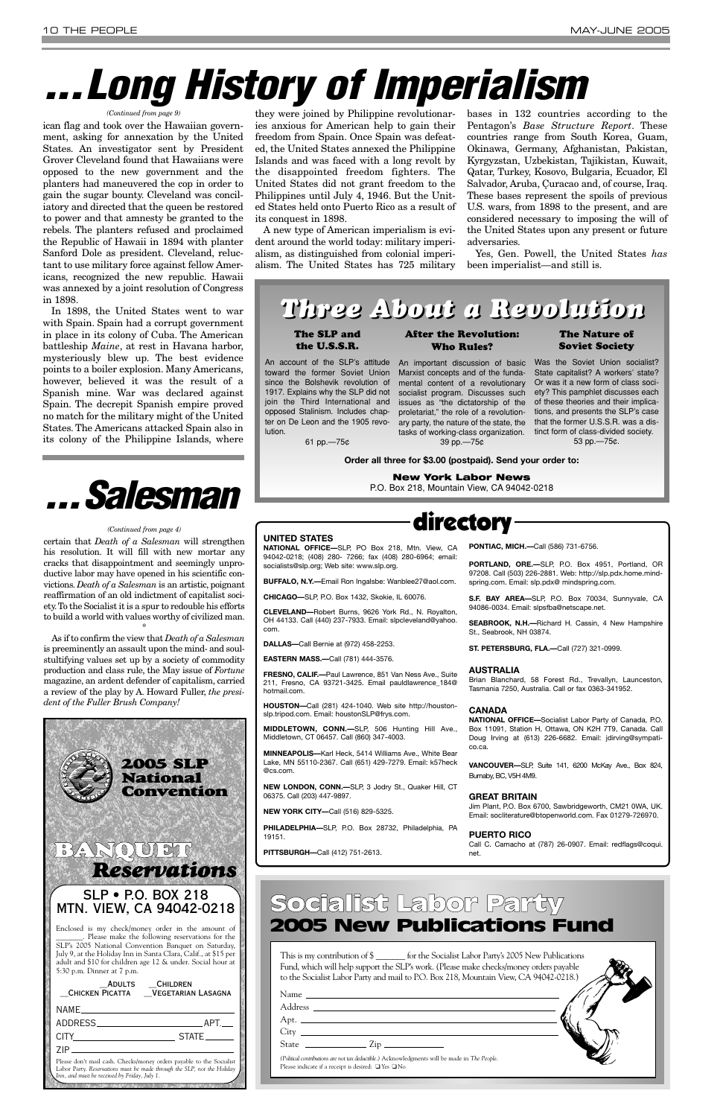ican flag and took over the Hawaiian government, asking for annexation by the United States. An investigator sent by President Grover Cleveland found that Hawaiians were opposed to the new government and the planters had maneuvered the cop in order to gain the sugar bounty. Cleveland was conciliatory and directed that the queen be restored to power and that amnesty be granted to the rebels. The planters refused and proclaimed the Republic of Hawaii in 1894 with planter Sanford Dole as president. Cleveland, reluctant to use military force against fellow Americans, recognized the new republic. Hawaii was annexed by a joint resolution of Congress in 1898.

In 1898, the United States went to war with Spain. Spain had a corrupt government in place in its colony of Cuba. The American battleship *Maine*, at rest in Havana harbor, mysteriously blew up. The best evidence points to a boiler explosion. Many Americans, however, believed it was the result of a Spanish mine. War was declared against Spain. The decrepit Spanish empire proved no match for the military might of the United States. The Americans attacked Spain also in its colony of the Philippine Islands, where

they were joined by Philippine revolutionaries anxious for American help to gain their freedom from Spain. Once Spain was defeated, the United States annexed the Philippine Islands and was faced with a long revolt by the disappointed freedom fighters. The United States did not grant freedom to the Philippines until July 4, 1946. But the United States held onto Puerto Rico as a result of its conquest in 1898.

A new type of American imperialism is evident around the world today: military imperialism, as distinguished from colonial imperialism. The United States has 725 military bases in 132 countries according to the Pentagon's *Base Structure Report*. These countries range from South Korea, Guam, Okinawa, Germany, Afghanistan, Pakistan, Kyrgyzstan, Uzbekistan, Tajikistan, Kuwait, Qatar, Turkey, Kosovo, Bulgaria, Ecuador, El Salvador, Aruba, Çuracao and, of course, Iraq. These bases represent the spoils of previous U.S. wars, from 1898 to the present, and are considered necessary to imposing the will of the United States upon any present or future adversaries.

Yes, Gen. Powell, the United States *has* been imperialist—and still is.

The SLP and the U.S.S.R.

An account of the SLP's attitude An important discussion of basic toward the former Soviet Union since the Bolshevik revolution of 1917. Explains why the SLP did not join the Third International and opposed Stalinism. Includes chapter on De Leon and the 1905 revolution.

61 pp.—75¢

After the Revolution: Who Rules?

Marxist concepts and of the fundamental content of a revolutionary socialist program. Discusses such issues as "the dictatorship of the proletariat," the role of a revolutionary party, the nature of the state, the tasks of working-class organization. 39 pp.—75¢

### The Nature of Soviet Society

Was the Soviet Union socialist? State capitalist? A workers' state? Or was it a new form of class society? This pamphlet discusses each of these theories and their implications, and presents the SLP's case that the former U.S.S.R. was a distinct form of class-divided society. 53 pp.—75¢.

**Order all three for \$3.00 (postpaid). Send your order to:**

This is my contribution of \$ for the Socialist Labor Party's 2005 New Publications Fund, which will help support the SLP's work. (Please make checks/money orders payable to the Socialist Labor Party and mail to P.O. Box 218, Mountain View, CA 94042-0218.)

**New York Labor News**

P.O. Box 218, Mountain View, CA 94042-0218

# *. . .Long History of Imperialism*

#### *(Continued from page 9)*

certain that *Death of a Salesman* will strengthen his resolution. It will fill with new mortar any cracks that disappointment and seemingly unproductive labor may have opened in his scientific convictions. *Death of a Salesman* is an artistic, poignant reaffirmation of an old indictment of capitalist society.To the Socialist it is a spur to redouble his efforts to build a world with values worthy of civilized man.

| ADULTS                                                                                                                                                                                          | <b>CHILDREN</b><br>CHICKEN PICATTA VEGETARIAN LASAGNA |  |
|-------------------------------------------------------------------------------------------------------------------------------------------------------------------------------------------------|-------------------------------------------------------|--|
| NAME <sub>—</sub>                                                                                                                                                                               |                                                       |  |
| ADDRESS                                                                                                                                                                                         | APT.                                                  |  |
| CITY                                                                                                                                                                                            | STATE____                                             |  |
| 7IP                                                                                                                                                                                             |                                                       |  |
| Please don't mail cash. Checks/money orders payable to the Socialist<br>Labor Party. Reservations must be made through the SLP, not the Holiday<br>Inn, and must be received by Friday, July 1. |                                                       |  |

### *Three About a Revolution Three About a Revolution*

\*

As if to confirm the view that *Death of a Salesman* is preeminently an assault upon the mind- and soulstultifying values set up by a society of commodity production and class rule, the May issue of *Fortune* magazine, an ardent defender of capitalism, carried a review of the play by A. Howard Fuller, *the president of the Fuller Brush Company!*

# *. . .Salesman*

#### *(Continued from page 4)*

directory

### **UNITED STATES**

**NATIONAL OFFICE—**SLP, PO Box 218, Mtn. View, CA 94042-0218; (408) 280- 7266; fax (408) 280-6964; email: socialists@slp.org; Web site: www.slp.org.

**BUFFALO, N.Y.—**Email Ron Ingalsbe: Wanblee27@aol.com.

**CHICAGO—**SLP, P.O. Box 1432, Skokie, IL 60076.

**CLEVELAND—**Robert Burns, 9626 York Rd., N. Royalton, OH 44133. Call (440) 237-7933. Email: slpcleveland@yahoo. com.

**DALLAS—**Call Bernie at (972) 458-2253.

**EASTERN MASS.—**Call (781) 444-3576.

**FRESNO, CALIF.—**Paul Lawrence, 851 Van Ness Ave., Suite 211, Fresno, CA 93721-3425. Email pauldlawrence\_184@ hotmail.com.

**HOUSTON—**Call (281) 424-1040. Web site http://houstonslp.tripod.com. Email: houstonSLP@frys.com.

**MIDDLETOWN, CONN.—**SLP, 506 Hunting Hill Ave., Middletown, CT 06457. Call (860) 347-4003.

**MINNEAPOLIS—**Karl Heck, 5414 Williams Ave., White Bear Lake, MN 55110-2367. Call (651) 429-7279. Email: k57heck @cs.com.

**NEW LONDON, CONN.—**SLP, 3 Jodry St., Quaker Hill, CT 06375. Call (203) 447-9897.

**NEW YORK CITY—**Call (516) 829-5325.

**PHILADELPHIA—**SLP, P.O. Box 28732, Philadelphia, PA 19151.

**PITTSBURGH—**Call (412) 751-2613.

**PONTIAC, MICH.—**Call (586) 731-6756.

**PORTLAND, ORE.—**SLP, P.O. Box 4951, Portland, OR 97208. Call (503) 226-2881. Web: http://slp.pdx.home.mindspring.com. Email: slp.pdx@ mindspring.com.

**S.F. BAY AREA—**SLP, P.O. Box 70034, Sunnyvale, CA 94086-0034. Email: slpsfba@netscape.net.

**SEABROOK, N.H.—**Richard H. Cassin, 4 New Hampshire St., Seabrook, NH 03874.

**ST. PETERSBURG, FLA.—**Call (727) 321-0999.

#### **AUSTRALIA**

Brian Blanchard, 58 Forest Rd., Trevallyn, Launceston, Tasmania 7250, Australia. Call or fax 0363-341952.

#### **CANADA**

**NATIONAL OFFICE—**Socialist Labor Party of Canada, P.O. Box 11091, Station H, Ottawa, ON K2H 7T9, Canada. Call Doug Irving at (613) 226-6682. Email: jdirving@sympatico.ca.

**VANCOUVER—**SLP, Suite 141, 6200 McKay Ave., Box 824, Burnaby, BC, V5H 4M9.

#### **GREAT BRITAIN**

Jim Plant, P.O. Box 6700, Sawbridgeworth, CM21 0WA, UK. Email: socliterature@btopenworld.com. Fax 01279-726970.

### **PUERTO RICO**

Call C. Camacho at (787) 26-0907. Email: redflags@coqui. net.

| State<br>$\frac{1}{2}$ $\frac{1}{2}$ $\frac{1}{2}$ $\frac{1}{2}$ $\frac{1}{2}$ $\frac{1}{2}$ $\frac{1}{2}$ $\frac{1}{2}$ $\frac{1}{2}$ $\frac{1}{2}$ $\frac{1}{2}$ $\frac{1}{2}$ $\frac{1}{2}$ $\frac{1}{2}$ $\frac{1}{2}$ $\frac{1}{2}$ $\frac{1}{2}$ $\frac{1}{2}$ $\frac{1}{2}$ $\frac{1}{2}$ $\frac{1}{2}$ $\frac{1}{2}$ |  |
|------------------------------------------------------------------------------------------------------------------------------------------------------------------------------------------------------------------------------------------------------------------------------------------------------------------------------|--|
| (Political contributions are not tax deductible.) Acknowledgments will be made in The People.<br>Please indicate if a receipt is desired: $\Box$ Yes $\Box$ No                                                                                                                                                               |  |

### Socialist Labor Party 2005 New Publications Fund

### **BANQUET** *Reservations*

### SLP • P.O. BOX 218 MTN. VIEW, CA 94042-0218

Enclosed is my check/money order in the amount of Please make the following reservations for the SLP's 2005 National Convention Banquet on Saturday, July 9, at the Holiday Inn in Santa Clara, Calif., at \$15 per adult and \$10 for children age 12 & under. Social hour at 5:30 p.m. Dinner at 7 p.m.

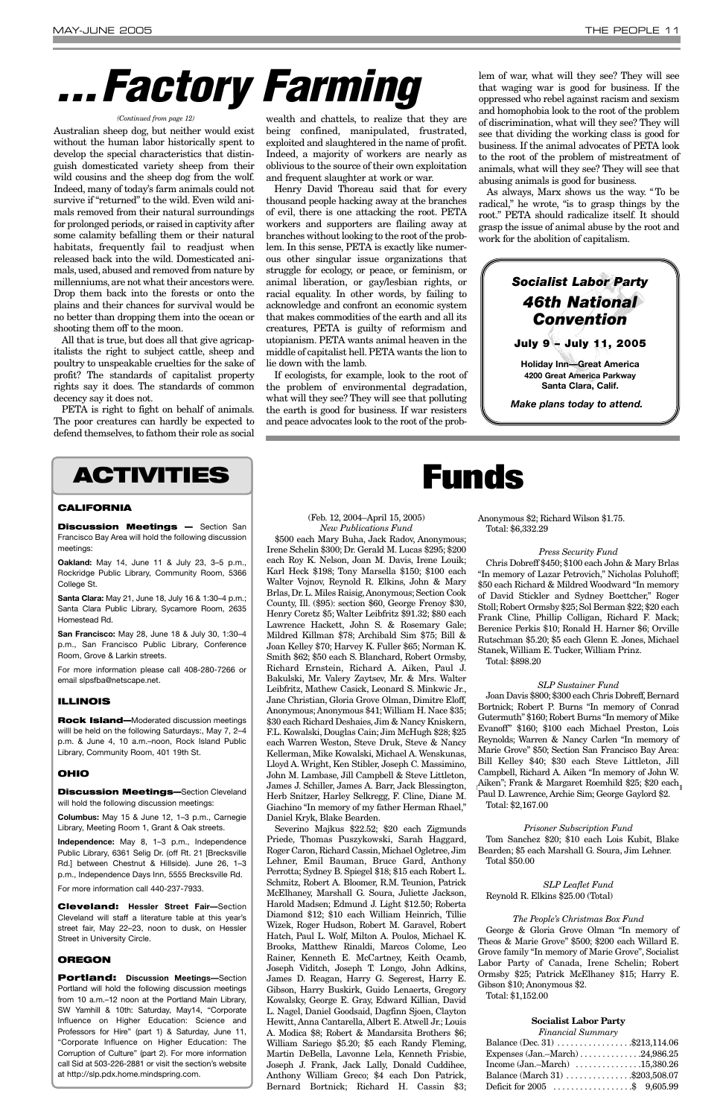Australian sheep dog, but neither would exist without the human labor historically spent to develop the special characteristics that distinguish domesticated variety sheep from their wild cousins and the sheep dog from the wolf. Indeed, many of today's farm animals could not survive if "returned" to the wild. Even wild animals removed from their natural surroundings for prolonged periods,or raised in captivity after some calamity befalling them or their natural habitats, frequently fail to readjust when released back into the wild. Domesticated animals, used, abused and removed from nature by millenniums, are not what their ancestors were. Drop them back into the forests or onto the plains and their chances for survival would be no better than dropping them into the ocean or shooting them off to the moon.

All that is true, but does all that give agricapitalists the right to subject cattle, sheep and poultry to unspeakable cruelties for the sake of profit? The standards of capitalist property rights say it does. The standards of common decency say it does not.

PETA is right to fight on behalf of animals. The poor creatures can hardly be expected to defend themselves, to fathom their role as social

wealth and chattels, to realize that they are being confined, manipulated, frustrated, exploited and slaughtered in the name of profit. Indeed, a majority of workers are nearly as oblivious to the source of their own exploitation and frequent slaughter at work or war.

Henry David Thoreau said that for every thousand people hacking away at the branches of evil, there is one attacking the root. PETA workers and supporters are flailing away at branches without looking to the root of the problem. In this sense, PETA is exactly like numerous other singular issue organizations that struggle for ecology, or peace, or feminism, or animal liberation, or gay/lesbian rights, or racial equality. In other words, by failing to acknowledge and confront an economic system that makes commodities of the earth and all its creatures, PETA is guilty of reformism and utopianism. PETA wants animal heaven in the middle of capitalist hell. PETA wants the lion to lie down with the lamb.

If ecologists, for example, look to the root of the problem of environmental degradation, what will they see? They will see that polluting the earth is good for business. If war resisters and peace advocates look to the root of the problem of war, what will they see? They will see that waging war is good for business. If the oppressed who rebel against racism and sexism and homophobia look to the root of the problem of discrimination, what will they see? They will see that dividing the working class is good for business. If the animal advocates of PETA look to the root of the problem of mistreatment of animals, what will they see? They will see that abusing animals is good for business.

As always, Marx shows us the way. "To be radical," he wrote, "is to grasp things by the root." PETA should radicalize itself. It should grasp the issue of animal abuse by the root and work for the abolition of capitalism.

Anonymous \$2; Richard Wilson \$1.75. Total: \$6,332.29

### *Press Security Fund*

Chris Dobreff \$450; \$100 each John & Mary Brlas "In memory of Lazar Petrovich," Nicholas Poluhoff; \$50 each Richard & Mildred Woodward "In memory of David Stickler and Sydney Boettcher," Roger Stoll; Robert Ormsby \$25; Sol Berman \$22; \$20 each Frank Cline, Phillip Colligan, Richard F. Mack; Berenice Perkis \$10; Ronald H. Harner \$6; Orville Rutschman \$5.20; \$5 each Glenn E. Jones, Michael Stanek, William E. Tucker, William Prinz. Total: \$898.20

#### *SLP Sustainer Fund*

Joan Davis \$800; \$300 each Chris Dobreff, Bernard Bortnick; Robert P. Burns "In memory of Conrad Gutermuth" \$160; Robert Burns "In memory of Mike Evanoff" \$160; \$100 each Michael Preston, Lois Reynolds; Warren & Nancy Carlen "In memory of Marie Grove" \$50; Section San Francisco Bay Area: Bill Kelley \$40; \$30 each Steve Littleton, Jill Campbell, Richard A. Aiken "In memory of John W. Aiken": Frank & Margaret Roemhild \$25; \$20 each Paul D. Lawrence, Archie Sim; George Gaylord \$2. Total: \$2,167.00

*Prisoner Subscription Fund* Tom Sanchez \$20; \$10 each Lois Kubit, Blake Bearden; \$5 each Marshall G. Soura, Jim Lehner. Total \$50.00

### *SLP Leaflet Fund* Reynold R. Elkins \$25.00 (Total)

*The People's Christmas Box Fund* George & Gloria Grove Olman "In memory of Theos & Marie Grove" \$500; \$200 each Willard E. Grove family "In memory of Marie Grove", Socialist Labor Party of Canada, Irene Schelin; Robert Ormsby \$25; Patrick McElhaney \$15; Harry E. Gibson \$10; Anonymous \$2.

Total: \$1,152.00

#### **Socialist Labor Party**

*Financial Summary*

| Balance (Dec. 31) $\ldots \ldots \ldots \ldots$ \$213,114.06 |  |
|--------------------------------------------------------------|--|
| Expenses $(Jan.-March)$ 24,986.25                            |  |
| Income $(Jan.-March)$ 15,380.26                              |  |
| Balance (March 31) \$203,508.07                              |  |
| Deficit for $2005$ \$ 9,605.99                               |  |

### (Feb. 12, 2004–April 15, 2005)

*New Publications Fund* \$500 each Mary Buha, Jack Radov, Anonymous; Irene Schelin \$300; Dr. Gerald M. Lucas \$295; \$200 each Roy K. Nelson, Joan M. Davis, Irene Louik; Karl Heck \$198; Tony Marsella \$150; \$100 each Walter Vojnov, Reynold R. Elkins, John & Mary Brlas, Dr. L. Miles Raisig,Anonymous; Section Cook County, Ill. (\$95): section \$60, George Frenoy \$30, Henry Coretz \$5; Walter Leibfritz \$91.32; \$80 each Lawrence Hackett, John S. & Rosemary Gale; Mildred Killman \$78; Archibald Sim \$75; Bill & Joan Kelley \$70; Harvey K. Fuller \$65; Norman K. Smith \$62; \$50 each S. Blanchard, Robert Ormsby, Richard Ernstein, Richard A. Aiken, Paul J. Bakulski, Mr. Valery Zaytsev, Mr. & Mrs. Walter Leibfritz, Mathew Casick, Leonard S. Minkwic Jr., Jane Christian, Gloria Grove Olman, Dimitre Eloff, Anonymous; Anonymous \$41; William H. Nace \$35; \$30 each Richard Deshaies, Jim & Nancy Kniskern, F.L. Kowalski, Douglas Cain; Jim McHugh \$28; \$25 each Warren Weston, Steve Druk, Steve & Nancy Kellerman, Mike Kowalski, Michael A. Wenskunas, Lloyd A. Wright, Ken Stibler, Joseph C. Massimino, John M. Lambase, Jill Campbell & Steve Littleton, James J. Schiller, James A. Barr, Jack Blessington, Herb Snitzer, Harley Selkregg, F. Cline, Diane M. Giachino "In memory of my father Herman Rhael," Daniel Kryk, Blake Bearden. Severino Majkus \$22.52; \$20 each Zigmunds Priede, Thomas Puszykowski, Sarah Haggard, Roger Caron, Richard Cassin, Michael Ogletree, Jim Lehner, Emil Bauman, Bruce Gard, Anthony Perrotta; Sydney B. Spiegel \$18; \$15 each Robert L. Schmitz, Robert A. Bloomer, R.M. Teunion, Patrick McElhaney, Marshall G. Soura, Juliette Jackson, Harold Madsen; Edmund J. Light \$12.50; Roberta Diamond \$12; \$10 each William Heinrich, Tillie Wizek, Roger Hudson, Robert M. Garavel, Robert Hatch, Paul L. Wolf, Milton A. Poulos, Michael K. Brooks, Matthew Rinaldi, Marcos Colome, Leo Rainer, Kenneth E. McCartney, Keith Ocamb, Joseph Viditch, Joseph T. Longo, John Adkins, James D. Reagan, Harry G. Segerest, Harry E. Gibson, Harry Buskirk, Guido Lenaerts, Gregory Kowalsky, George E. Gray, Edward Killian, David L. Nagel, Daniel Goodsaid, Dagfinn Sjoen, Clayton Hewitt, Anna Cantarella, Albert E. Atwell Jr.; Louis A. Modica \$8; Robert & Mandarsita Brothers \$6; William Sariego \$5.20; \$5 each Randy Fleming, Martin DeBella, Lavonne Lela, Kenneth Frisbie, Joseph J. Frank, Jack Lally, Donald Cuddihee, Anthony William Greco; \$4 each Don Patrick, Bernard Bortnick; Richard H. Cassin \$3;



# *. . .Factory Farming*

#### *(Continued from page 12)*



### **ACTIVITIES**

### **CALIFORNIA**

**Discussion Meetings —** Section San Francisco Bay Area will hold the following discussion meetings:

**Oakland:** May 14, June 11 & July 23, 3–5 p.m., Rockridge Public Library, Community Room, 5366 College St.

**Santa Clara:** May 21, June 18, July 16 & 1:30–4 p.m.; Santa Clara Public Library, Sycamore Room, 2635 Homestead Rd.

**San Francisco:** May 28, June 18 & July 30, 1:30–4 p.m., San Francisco Public Library, Conference Room, Grove & Larkin streets.

For more information please call 408-280-7266 or email slpsfba@netscape.net.

### **ILLINOIS**

**Rock Island—**Moderated discussion meetings willl be held on the following Saturdays:, May 7, 2–4 p.m. & June 4, 10 a.m.–noon, Rock Island Public Library, Community Room, 401 19th St.

### **OHIO**

**Discussion Meetings—**Section Cleveland will hold the following discussion meetings:

**Columbus:** May 15 & June 12, 1–3 p.m., Carnegie

Library, Meeting Room 1, Grant & Oak streets.

**Independence:** May 8, 1–3 p.m., Independence Public Library, 6361 Selig Dr. (off Rt. 21 [Brecksville Rd.] between Chestnut & Hillside). June 26, 1–3 p.m., Independence Days Inn, 5555 Brecksville Rd. For more information call 440-237-7933.

**Cleveland: Hessler Street Fair—**Section Cleveland will staff a literature table at this year's street fair, May 22–23, noon to dusk, on Hessler Street in University Circle.

### **OREGON**

**Portland: Discussion Meetings—**Section Portland will hold the following discussion meetings from 10 a.m.–12 noon at the Portland Main Library, SW Yamhill & 10th: Saturday, May14, "Corporate Influence on Higher Education: Science and Professors for Hire" (part 1) & Saturday, June 11, "Corporate Influence on Higher Education: The Corruption of Culture" (part 2). For more information call Sid at 503-226-2881 or visit the section's website at http://slp.pdx.home.mindspring.com.